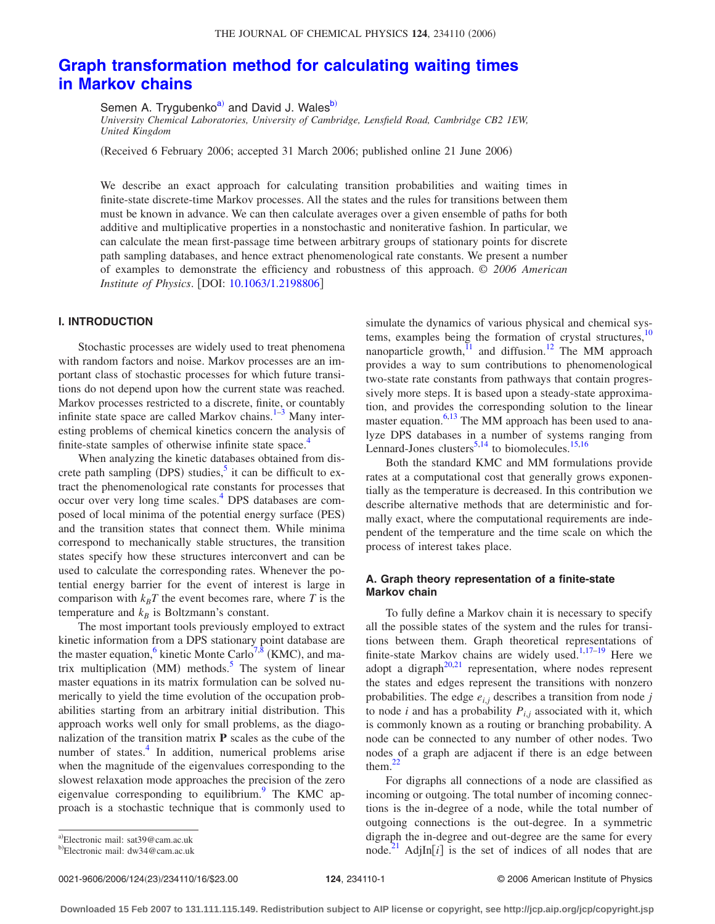# **[Graph transformation method for calculating waiting times](http://dx.doi.org/10.1063/1.2198806) [in Markov chains](http://dx.doi.org/10.1063/1.2198806)**

Semen A. Trygubenko<sup>a)</sup> and David J. Wales<sup>b)</sup>

*University Chemical Laboratories, University of Cambridge, Lensfield Road, Cambridge CB2 1EW, United Kingdom*

(Received 6 February 2006; accepted 31 March 2006; published online 21 June 2006)

We describe an exact approach for calculating transition probabilities and waiting times in finite-state discrete-time Markov processes. All the states and the rules for transitions between them must be known in advance. We can then calculate averages over a given ensemble of paths for both additive and multiplicative properties in a nonstochastic and noniterative fashion. In particular, we can calculate the mean first-passage time between arbitrary groups of stationary points for discrete path sampling databases, and hence extract phenomenological rate constants. We present a number of examples to demonstrate the efficiency and robustness of this approach. © *2006 American Institute of Physics.* [DOI: [10.1063/1.2198806](http://dx.doi.org/10.1063/1.2198806)]

# **I. INTRODUCTION**

Stochastic processes are widely used to treat phenomena with random factors and noise. Markov processes are an important class of stochastic processes for which future transitions do not depend upon how the current state was reached. Markov processes restricted to a discrete, finite, or countably infinite state space are called Markov chains. $1-3$  Many interesting problems of chemical kinetics concern the analysis of finite-state samples of otherwise infinite state space.<sup>4</sup>

When analyzing the kinetic databases obtained from discrete path sampling (DPS) studies,<sup>5</sup> it can be difficult to extract the phenomenological rate constants for processes that occur over very long time scales.<sup>4</sup> DPS databases are composed of local minima of the potential energy surface (PES) and the transition states that connect them. While minima correspond to mechanically stable structures, the transition states specify how these structures interconvert and can be used to calculate the corresponding rates. Whenever the potential energy barrier for the event of interest is large in comparison with  $k_B T$  the event becomes rare, where *T* is the temperature and  $k_B$  is Boltzmann's constant.

The most important tools previously employed to extract kinetic information from a DPS stationary point database are the master equation, <sup>6</sup> kinetic Monte Carlo<sup>7, $\frac{8}{8}$ </sup> (KMC), and matrix multiplication (MM) methods.<sup>5</sup> The system of linear master equations in its matrix formulation can be solved numerically to yield the time evolution of the occupation probabilities starting from an arbitrary initial distribution. This approach works well only for small problems, as the diagonalization of the transition matrix **P** scales as the cube of the number of states. $\frac{4}{1}$  In addition, numerical problems arise when the magnitude of the eigenvalues corresponding to the slowest relaxation mode approaches the precision of the zero eigenvalue corresponding to equilibrium. $9$  The KMC approach is a stochastic technique that is commonly used to simulate the dynamics of various physical and chemical systems, examples being the formation of crystal structures, $10$ nanoparticle growth, $\frac{11}{2}$  and diffusion.<sup>12</sup> The MM approach provides a way to sum contributions to phenomenological two-state rate constants from pathways that contain progressively more steps. It is based upon a steady-state approximation, and provides the corresponding solution to the linear master equation. $6,13$  The MM approach has been used to analyze DPS databases in a number of systems ranging from Lennard-Jones clusters $5,14$  to biomolecules.<sup>15,16</sup>

Both the standard KMC and MM formulations provide rates at a computational cost that generally grows exponentially as the temperature is decreased. In this contribution we describe alternative methods that are deterministic and formally exact, where the computational requirements are independent of the temperature and the time scale on which the process of interest takes place.

# **A. Graph theory representation of a finite-state Markov chain**

To fully define a Markov chain it is necessary to specify all the possible states of the system and the rules for transitions between them. Graph theoretical representations of finite-state Markov chains are widely used.<sup>1,17-19</sup> Here we adopt a digraph $20,21$  representation, where nodes represent the states and edges represent the transitions with nonzero probabilities. The edge  $e_{i,j}$  describes a transition from node  $j$ to node *i* and has a probability  $P_{i,j}$  associated with it, which is commonly known as a routing or branching probability. A node can be connected to any number of other nodes. Two nodes of a graph are adjacent if there is an edge between them. $^{22}$ 

For digraphs all connections of a node are classified as incoming or outgoing. The total number of incoming connections is the in-degree of a node, while the total number of outgoing connections is the out-degree. In a symmetric digraph the in-degree and out-degree are the same for every node.<sup>21</sup> AdjIn $[i]$  is the set of indices of all nodes that are

0021-9606/2006/124(23)/234110/16/\$23.00

a)Electronic mail: sat39@cam.ac.uk

<sup>&</sup>lt;sup>b)</sup>Electronic mail: dw34@cam.ac.uk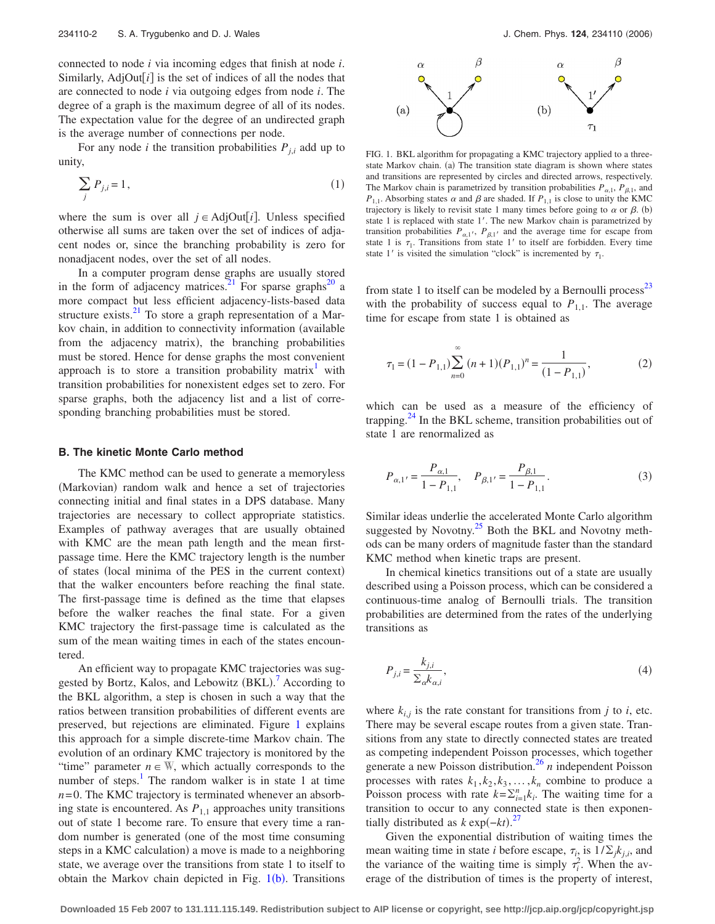connected to node *i* via incoming edges that finish at node *i*. Similarly,  $AdjOut[i]$  is the set of indices of all the nodes that are connected to node *i* via outgoing edges from node *i*. The degree of a graph is the maximum degree of all of its nodes. The expectation value for the degree of an undirected graph is the average number of connections per node.

For any node *i* the transition probabilities  $P_{i,i}$  add up to unity,

$$
\sum_{j} P_{j,i} = 1,\tag{1}
$$

where the sum is over all  $j \in \text{AdjOut}[i]$ . Unless specified otherwise all sums are taken over the set of indices of adjacent nodes or, since the branching probability is zero for nonadjacent nodes, over the set of all nodes.

In a computer program dense graphs are usually stored in the form of adjacency matrices.<sup>21</sup> For sparse graphs<sup>20</sup> a more compact but less efficient adjacency-lists-based data structure exists. $^{21}$  To store a graph representation of a Markov chain, in addition to connectivity information (available from the adjacency matrix), the branching probabilities must be stored. Hence for dense graphs the most convenient approach is to store a transition probability matrix<sup>1</sup> with transition probabilities for nonexistent edges set to zero. For sparse graphs, both the adjacency list and a list of corresponding branching probabilities must be stored.

#### **B. The kinetic Monte Carlo method**

The KMC method can be used to generate a memoryless (Markovian) random walk and hence a set of trajectories connecting initial and final states in a DPS database. Many trajectories are necessary to collect appropriate statistics. Examples of pathway averages that are usually obtained with KMC are the mean path length and the mean firstpassage time. Here the KMC trajectory length is the number of states (local minima of the PES in the current context) that the walker encounters before reaching the final state. The first-passage time is defined as the time that elapses before the walker reaches the final state. For a given KMC trajectory the first-passage time is calculated as the sum of the mean waiting times in each of the states encountered.

An efficient way to propagate KMC trajectories was sug-gested by Bortz, Kalos, and Lebowitz (BKL).<sup>[7](#page-14-0)</sup> According to the BKL algorithm, a step is chosen in such a way that the ratios between transition probabilities of different events are preserved, but rejections are eliminated. Figure 1 explains this approach for a simple discrete-time Markov chain. The evolution of an ordinary KMC trajectory is monitored by the "time" parameter  $n \in \mathbb{W}$ , which actually corresponds to the number of steps. $\frac{1}{1}$  The random walker is in state 1 at time  $n = 0$ . The KMC trajectory is terminated whenever an absorbing state is encountered. As  $P_{1,1}$  approaches unity transitions out of state 1 become rare. To ensure that every time a random number is generated (one of the most time consuming steps in a KMC calculation) a move is made to a neighboring state, we average over the transitions from state 1 to itself to obtain the Markov chain depicted in Fig.  $1(b)$ . Transitions



FIG. 1. BKL algorithm for propagating a KMC trajectory applied to a threestate Markov chain. (a) The transition state diagram is shown where states and transitions are represented by circles and directed arrows, respectively. The Markov chain is parametrized by transition probabilities  $P_{\alpha,1}$ ,  $P_{\beta,1}$ , and  $P_{1,1}$ . Absorbing states  $\alpha$  and  $\beta$  are shaded. If  $P_{1,1}$  is close to unity the KMC trajectory is likely to revisit state 1 many times before going to  $\alpha$  or  $\beta$ . (b) state 1 is replaced with state 1'. The new Markov chain is parametrized by transition probabilities  $P_{\alpha,1}$ ,  $P_{\beta,1}$  and the average time for escape from state 1 is  $\tau_1$ . Transitions from state 1' to itself are forbidden. Every time state 1' is visited the simulation "clock" is incremented by  $\tau_1$ .

from state 1 to itself can be modeled by a Bernoulli process<sup>23</sup> with the probability of success equal to  $P_{1,1}$ . The average time for escape from state 1 is obtained as

$$
\tau_1 = (1 - P_{1,1}) \sum_{n=0}^{\infty} (n+1)(P_{1,1})^n = \frac{1}{(1 - P_{1,1})},\tag{2}
$$

which can be used as a measure of the efficiency of trapping. $^{24}$  In the BKL scheme, transition probabilities out of state 1 are renormalized as

$$
P_{\alpha,1'} = \frac{P_{\alpha,1}}{1 - P_{1,1}}, \quad P_{\beta,1'} = \frac{P_{\beta,1}}{1 - P_{1,1}}.
$$
 (3)

Similar ideas underlie the accelerated Monte Carlo algorithm suggested by Novotny. $25$  Both the BKL and Novotny methods can be many orders of magnitude faster than the standard KMC method when kinetic traps are present.

In chemical kinetics transitions out of a state are usually described using a Poisson process, which can be considered a continuous-time analog of Bernoulli trials. The transition probabilities are determined from the rates of the underlying transitions as

$$
P_{j,i} = \frac{k_{j,i}}{\sum_{\alpha} k_{\alpha,i}},\tag{4}
$$

where  $k_{i,j}$  is the rate constant for transitions from *j* to *i*, etc. There may be several escape routes from a given state. Transitions from any state to directly connected states are treated as competing independent Poisson processes, which together generate a new Poisson distribution[.26](#page-14-0) *n* independent Poisson processes with rates  $k_1, k_2, k_3, \ldots, k_n$  combine to produce a Poisson process with rate  $k = \sum_{i=1}^{n} k_i$ . The waiting time for a transition to occur to any connected state is then exponentially distributed as  $k \exp(-kt)$ .<sup>[27](#page-14-0)</sup>

Given the exponential distribution of waiting times the mean waiting time in state *i* before escape,  $\tau_{i_2}$  is  $1/\sum_j k_{j,i}$ , and the variance of the waiting time is simply  $\tau_i^2$ . When the average of the distribution of times is the property of interest,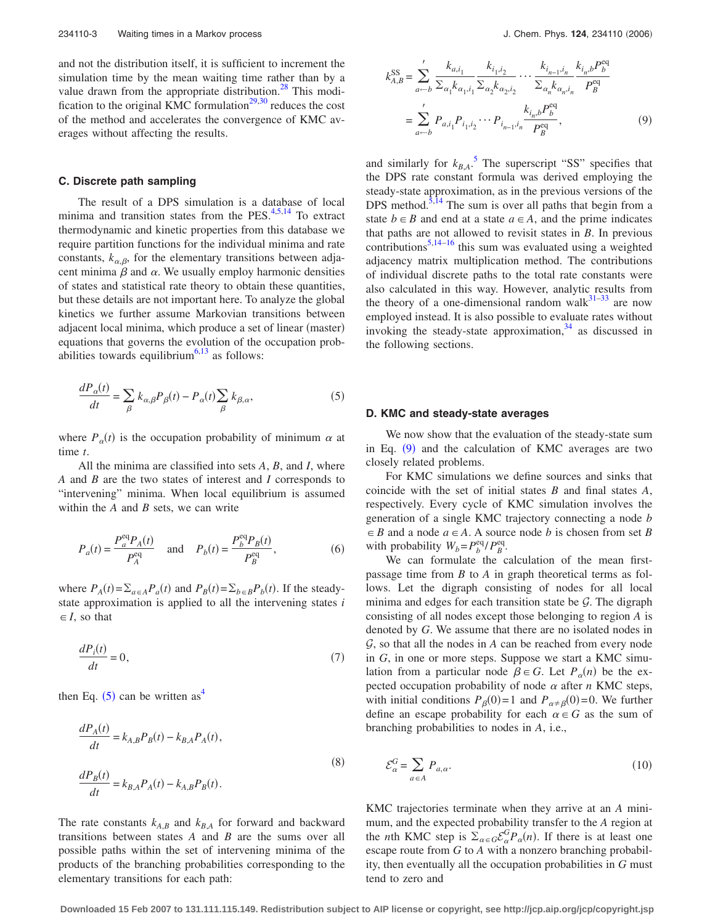<span id="page-2-0"></span>and not the distribution itself, it is sufficient to increment the simulation time by the mean waiting time rather than by a value drawn from the appropriate distribution.<sup>28</sup> This modification to the original KMC formulation $^{29,30}$  reduces the cost of the method and accelerates the convergence of KMC averages without affecting the results.

#### **C. Discrete path sampling**

The result of a DPS simulation is a database of local minima and transition states from the PES. $4,5,14$  To extract thermodynamic and kinetic properties from this database we require partition functions for the individual minima and rate constants,  $k_{\alpha, \beta}$ , for the elementary transitions between adjacent minima  $\beta$  and  $\alpha$ . We usually employ harmonic densities of states and statistical rate theory to obtain these quantities, but these details are not important here. To analyze the global kinetics we further assume Markovian transitions between adjacent local minima, which produce a set of linear (master) equations that governs the evolution of the occupation probabilities towards equilibrium<sup>6,13</sup> as follows:

$$
\frac{dP_{\alpha}(t)}{dt} = \sum_{\beta} k_{\alpha,\beta} P_{\beta}(t) - P_{\alpha}(t) \sum_{\beta} k_{\beta,\alpha},\tag{5}
$$

where  $P_{\alpha}(t)$  is the occupation probability of minimum  $\alpha$  at time *t*.

All the minima are classified into sets *A*, *B*, and *I*, where *A* and *B* are the two states of interest and *I* corresponds to "intervening" minima. When local equilibrium is assumed within the *A* and *B* sets, we can write

$$
P_a(t) = \frac{P_a^{\text{eq}} P_A(t)}{P_A^{\text{eq}}} \quad \text{and} \quad P_b(t) = \frac{P_b^{\text{eq}} P_B(t)}{P_B^{\text{eq}}},\tag{6}
$$

where  $P_A(t) = \sum_{a \in A} P_a(t)$  and  $P_B(t) = \sum_{b \in B} P_b(t)$ . If the steadystate approximation is applied to all the intervening states *i*  $\in$  *I*, so that

$$
\frac{dP_i(t)}{dt} = 0,\t\t(7)
$$

then Eq.  $(5)$  can be written as<sup>4</sup>

$$
\frac{dP_A(t)}{dt} = k_{A,B}P_B(t) - k_{B,A}P_A(t),
$$
  
\n
$$
\frac{dP_B(t)}{dt} = k_{B,A}P_A(t) - k_{A,B}P_B(t).
$$
\n(8)

The rate constants  $k_{A,B}$  and  $k_{B,A}$  for forward and backward transitions between states *A* and *B* are the sums over all possible paths within the set of intervening minima of the products of the branching probabilities corresponding to the elementary transitions for each path:

$$
k_{A,B}^{\text{SS}} = \sum_{a \leftarrow b}^{\prime} \frac{k_{a,i_1}}{\sum_{\alpha_1} k_{\alpha_1, i_1} \sum_{\alpha_2} k_{\alpha_2, i_2}} \cdots \frac{k_{i_{n-1}, i_n}}{\sum_{\alpha_n} k_{\alpha_n, i_n}} \frac{k_{i_n, b} P_b^{\text{eq}}}{P_B^{\text{eq}}}
$$

$$
= \sum_{a \leftarrow b}^{\prime} P_{a, i_1} P_{i_1, i_2} \cdots P_{i_{n-1}, i_n} \frac{k_{i_n, b} P_b^{\text{eq}}}{P_B^{\text{eq}}}, \tag{9}
$$

and similarly for  $k_{BA}$ .<sup>[5](#page-14-0)</sup> The superscript "SS" specifies that the DPS rate constant formula was derived employing the steady-state approximation, as in the previous versions of the DPS method.<sup>5,14</sup> The sum is over all paths that begin from a state  $b \in B$  and end at a state  $a \in A$ , and the prime indicates that paths are not allowed to revisit states in *B*. In previous contributions<sup>5,14–16</sup> this sum was evaluated using a weighted adjacency matrix multiplication method. The contributions of individual discrete paths to the total rate constants were also calculated in this way. However, analytic results from the theory of a one-dimensional random walk $31-33$  are now employed instead. It is also possible to evaluate rates without invoking the steady-state approximation, $34$  as discussed in the following sections.

#### **D. KMC and steady-state averages**

We now show that the evaluation of the steady-state sum in Eq.  $(9)$  and the calculation of KMC averages are two closely related problems.

For KMC simulations we define sources and sinks that coincide with the set of initial states *B* and final states *A*, respectively. Every cycle of KMC simulation involves the generation of a single KMC trajectory connecting a node *b*  $\in$  *B* and a node *a* $\in$  *A*. A source node *b* is chosen from set *B* with probability  $W_b = P_b^{\text{eq}} / P_B^{\text{eq}}$ .

We can formulate the calculation of the mean firstpassage time from *B* to *A* in graph theoretical terms as follows. Let the digraph consisting of nodes for all local minima and edges for each transition state be  $G$ . The digraph consisting of all nodes except those belonging to region *A* is denoted by *G*. We assume that there are no isolated nodes in G, so that all the nodes in *A* can be reached from every node in *G*, in one or more steps. Suppose we start a KMC simulation from a particular node  $\beta \in G$ . Let  $P_{\alpha}(n)$  be the expected occupation probability of node  $\alpha$  after *n* KMC steps, with initial conditions  $P_{\beta}(0) = 1$  and  $P_{\alpha \neq \beta}(0) = 0$ . We further define an escape probability for each  $\alpha \in G$  as the sum of branching probabilities to nodes in *A*, i.e.,

$$
\mathcal{E}_{\alpha}^{G} = \sum_{a \in A} P_{a,\alpha}.\tag{10}
$$

KMC trajectories terminate when they arrive at an *A* minimum, and the expected probability transfer to the *A* region at the *n*th KMC step is  $\Sigma_{\alpha \in G} \mathcal{E}_{\alpha}^G P_{\alpha}(n)$ . If there is at least one escape route from *G* to *A* with a nonzero branching probability, then eventually all the occupation probabilities in *G* must tend to zero and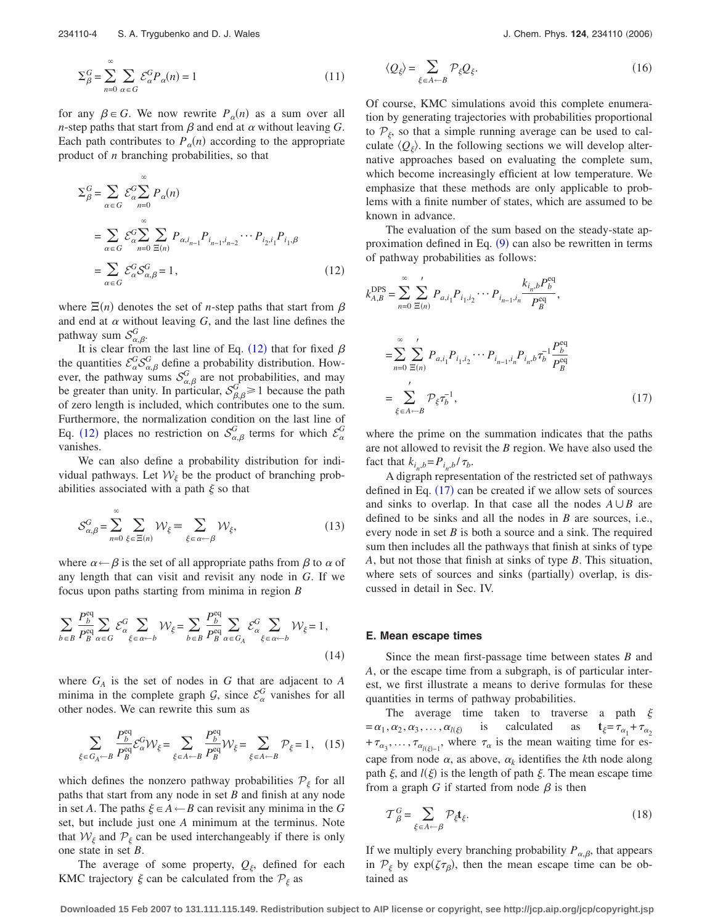$$
\Sigma_{\beta}^{G} = \sum_{n=0}^{\infty} \sum_{\alpha \in G} \mathcal{E}_{\alpha}^{G} P_{\alpha}(n) = 1
$$
\n(11)

for any  $\beta \in G$ . We now rewrite  $P_{\alpha}(n)$  as a sum over all *n*-step paths that start from  $\beta$  and end at  $\alpha$  without leaving  $G$ . Each path contributes to  $P_\alpha(n)$  according to the appropriate product of *n* branching probabilities, so that

$$
\Sigma_{\beta}^{G} = \sum_{\alpha \in G} \mathcal{E}_{\alpha}^{G} \sum_{n=0}^{\infty} P_{\alpha}(n)
$$
  
= 
$$
\sum_{\alpha \in G} \mathcal{E}_{\alpha}^{G} \sum_{n=0}^{\infty} \sum_{\Xi(n)} P_{\alpha, i_{n-1}} P_{i_{n-1}, i_{n-2}} \cdots P_{i_2, i_1} P_{i_1, \beta}
$$
  
= 
$$
\sum_{\alpha \in G} \mathcal{E}_{\alpha}^{G} \mathcal{S}_{\alpha, \beta}^{G} = 1,
$$
 (12)

where  $\Xi(n)$  denotes the set of *n*-step paths that start from  $\beta$ and end at  $\alpha$  without leaving  $G$ , and the last line defines the pathway sum  $\mathcal{S}_{\alpha,\beta}^G$ .

It is clear from the last line of Eq. (12) that for fixed  $\beta$ the quantities  $\mathcal{E}_{\alpha}^G \mathcal{S}_{\alpha,\beta}^G$  define a probability distribution. However, the pathway sums  $S_{\alpha,\beta}^G$  are not probabilities, and may be greater than unity. In particular,  $S_{\beta,\beta}^G \geq 1$  because the path of zero length is included, which contributes one to the sum. Furthermore, the normalization condition on the last line of Eq. (12) places no restriction on  $S^G_{\alpha,\beta}$  terms for which  $\mathcal{E}^G_{\alpha}$ vanishes.

We can also define a probability distribution for individual pathways. Let  $W_{\xi}$  be the product of branching probabilities associated with a path  $\xi$  so that

$$
S_{\alpha,\beta}^G = \sum_{n=0}^{\infty} \sum_{\xi \in \Xi(n)} \mathcal{W}_{\xi} \equiv \sum_{\xi \in \alpha \leftarrow \beta} \mathcal{W}_{\xi},\tag{13}
$$

where  $\alpha \leftarrow \beta$  is the set of all appropriate paths from  $\beta$  to  $\alpha$  of any length that can visit and revisit any node in *G*. If we focus upon paths starting from minima in region *B*

$$
\sum_{b \in B} \frac{P_b^{\text{eq}}}{P_B^{\text{eq}}} \sum_{\alpha \in G} \mathcal{E}_{\alpha}^G \sum_{\xi \in \alpha \leftarrow b} \mathcal{W}_{\xi} = \sum_{b \in B} \frac{P_b^{\text{eq}}}{P_B^{\text{eq}}} \sum_{\alpha \in G_A} \mathcal{E}_{\alpha}^G \sum_{\xi \in \alpha \leftarrow b} \mathcal{W}_{\xi} = 1,
$$
\n(14)

where  $G_A$  is the set of nodes in  $G$  that are adjacent to  $A$ minima in the complete graph  $G$ , since  $\mathcal{E}_{\alpha}^{G}$  vanishes for all other nodes. We can rewrite this sum as

$$
\sum_{\xi \in G_A \leftarrow B} \frac{P_b^{\text{eq}}}{P_B^{\text{eq}}} \mathcal{E}_{\alpha}^G \mathcal{W}_{\xi} = \sum_{\xi \in A \leftarrow B} \frac{P_b^{\text{eq}}}{P_B^{\text{eq}}} \mathcal{W}_{\xi} = \sum_{\xi \in A \leftarrow B} \mathcal{P}_{\xi} = 1, \quad (15)
$$

which defines the nonzero pathway probabilities  $P_{\xi}$  for all paths that start from any node in set *B* and finish at any node in set *A*. The paths  $\xi$  ∈ *A* ← *B* can revisit any minima in the *G* set, but include just one *A* minimum at the terminus. Note that  $W_{\xi}$  and  $P_{\xi}$  can be used interchangeably if there is only one state in set *B*.

The average of some property,  $Q_{\xi}$ , defined for each KMC trajectory  $\xi$  can be calculated from the  $P_{\xi}$  as

$$
\langle Q_{\xi} \rangle = \sum_{\xi \in A \leftarrow B} \mathcal{P}_{\xi} Q_{\xi}.
$$
 (16)

Of course, KMC simulations avoid this complete enumeration by generating trajectories with probabilities proportional to  $\mathcal{P}_{\xi}$ , so that a simple running average can be used to calculate  $\langle Q_{\xi} \rangle$ . In the following sections we will develop alternative approaches based on evaluating the complete sum, which become increasingly efficient at low temperature. We emphasize that these methods are only applicable to problems with a finite number of states, which are assumed to be known in advance.

The evaluation of the sum based on the steady-state approximation defined in Eq.  $(9)$  $(9)$  $(9)$  can also be rewritten in terms of pathway probabilities as follows:

$$
k_{A,B}^{\text{DPS}} = \sum_{n=0}^{\infty} \sum_{\Xi(n)}' P_{a,i_1} P_{i_1, i_2} \cdots P_{i_{n-1}, i_n} \frac{k_{i_n, b} P_b^{\text{eq}}}{P_B^{\text{eq}}},
$$
  

$$
= \sum_{n=0}^{\infty} \sum_{\Xi(n)}' P_{a,i_1} P_{i_1, i_2} \cdots P_{i_{n-1}, i_n} P_{i_n, b} \tau_b^{-1} \frac{P_b^{\text{eq}}}{P_B^{\text{eq}}}
$$
  

$$
= \sum_{\xi \in A \leftarrow B}' P_{\xi} \tau_b^{-1},
$$
 (17)

where the prime on the summation indicates that the paths are not allowed to revisit the *B* region. We have also used the fact that  $k_{i_n,b} = P_{i_n,b} / \tau_b$ .

A digraph representation of the restricted set of pathways defined in Eq.  $(17)$  can be created if we allow sets of sources and sinks to overlap. In that case all the nodes  $A \cup B$  are defined to be sinks and all the nodes in *B* are sources, i.e., every node in set *B* is both a source and a sink. The required sum then includes all the pathways that finish at sinks of type *A*, but not those that finish at sinks of type *B*. This situation, where sets of sources and sinks (partially) overlap, is discussed in detail in Sec. IV.

#### **E. Mean escape times**

Since the mean first-passage time between states *B* and *A*, or the escape time from a subgraph, is of particular interest, we first illustrate a means to derive formulas for these quantities in terms of pathway probabilities.

The average time taken to traverse a path  $\xi$  $=\alpha_1, \alpha_2, \alpha_3, \ldots, \alpha_{l(\xi)}$ is calculated as  $\mathbf{t}_{\xi} = \tau_{\alpha_1} + \tau_{\alpha_2}$  $+\tau_{\alpha_3}, \ldots, \tau_{\alpha_{l(\xi)-1}}$ , where  $\tau_{\alpha}$  is the mean waiting time for escape from node  $\alpha$ , as above,  $\alpha_k$  identifies the *k*th node along path  $\xi$ , and  $l(\xi)$  is the length of path  $\xi$ . The mean escape time from a graph *G* if started from node  $\beta$  is then

$$
\mathcal{T}_{\beta}^{G} = \sum_{\xi \in A \leftarrow \beta} \mathcal{P}_{\xi} \mathbf{t}_{\xi}.
$$
 (18)

If we multiply every branching probability  $P_{\alpha,\beta}$ , that appears in  $P_{\xi}$  by  $exp(\zeta \tau_{\beta})$ , then the mean escape time can be obtained as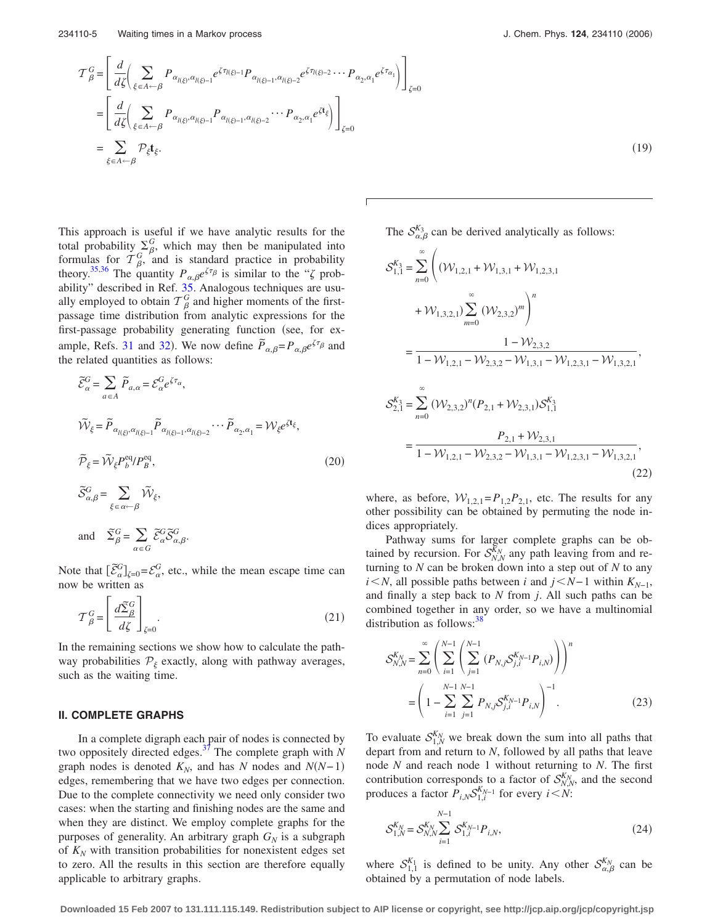<span id="page-4-0"></span>
$$
\mathcal{T}_{\beta}^{G} = \left[ \frac{d}{d\zeta} \Biggl( \sum_{\xi \in A \leftarrow \beta} P_{\alpha_{l(\xi)}, \alpha_{l(\xi)-1}} e^{\zeta \tau_{l(\xi)-1}} P_{\alpha_{l(\xi)-1}, \alpha_{l(\xi)-2}} e^{\zeta \tau_{l(\xi)-2}} \cdots P_{\alpha_{2}, \alpha_{1}} e^{\zeta \tau_{\alpha_{1}}} \Biggr) \right]_{\zeta=0}
$$
\n
$$
= \left[ \frac{d}{d\zeta} \Biggl( \sum_{\xi \in A \leftarrow \beta} P_{\alpha_{l(\xi)}, \alpha_{l(\xi)-1}} P_{\alpha_{l(\xi)-1}, \alpha_{l(\xi)-2}} \cdots P_{\alpha_{2}, \alpha_{1}} e^{\zeta t_{\xi}} \Biggr) \right]_{\zeta=0}
$$
\n
$$
= \sum_{\xi \in A \leftarrow \beta} \mathcal{P}_{\xi} t_{\xi}.
$$
\n(19)

This approach is useful if we have analytic results for the total probability  $\sum_{\beta}^{G}$ , which may then be manipulated into formulas for  $T^G_{\beta}$ , and is standard practice in probability theory.<sup>35,36</sup> The quantity  $P_{\alpha,\beta}e^{\zeta\tau_{\beta}}$  is similar to the " $\zeta$  prob-ability" described in Ref. [35.](#page-14-0) Analogous techniques are usually employed to obtain  $T^G_\beta$  and higher moments of the firstpassage time distribution from analytic expressions for the first-passage probability generating function (see, for ex-ample, Refs. [31](#page-14-0) and [32](#page-14-0)). We now define  $\tilde{P}_{\alpha,\beta} = P_{\alpha,\beta}e^{\zeta\tau_{\beta}}$  and the related quantities as follows:

$$
\widetilde{\mathcal{E}}_{\alpha}^{G} = \sum_{a \in A} \widetilde{P}_{a,\alpha} = \mathcal{E}_{\alpha}^{G} e^{\zeta \tau_{\alpha}},
$$
\n
$$
\widetilde{\mathcal{W}}_{\xi} = \widetilde{P}_{\alpha_{I(\xi)}, \alpha_{I(\xi)-1}} \widetilde{P}_{\alpha_{I(\xi)-1}, \alpha_{I(\xi)-2}} \cdots \widetilde{P}_{\alpha_{2}, \alpha_{1}} = \mathcal{W}_{\xi} e^{\zeta t_{\xi}},
$$
\n
$$
\widetilde{P}_{\xi} = \widetilde{\mathcal{W}}_{\xi} P_{b}^{\text{eq}} / P_{B}^{\text{eq}},
$$
\n
$$
\widetilde{S}_{\alpha, \beta}^{G} = \sum_{\xi \in \alpha \leftarrow \beta} \widetilde{\mathcal{W}}_{\xi},
$$
\n(20)

and 
$$
\widetilde{\Sigma}_{\beta}^G = \sum_{\alpha \in G} \widetilde{\mathcal{E}}_{\alpha}^G \widetilde{\mathcal{S}}_{\alpha,\beta}^G.
$$

Note that  $\left[\tilde{\mathcal{E}}_{\alpha}^G\right]_{\zeta=0} = \mathcal{E}_{\alpha}^G$ , etc., while the mean escape time can now be written as

$$
\mathcal{T}_{\beta}^{G} = \left[ \frac{d\widetilde{\Sigma}_{\beta}^{G}}{d\zeta} \right]_{\zeta=0}.
$$
\n(21)

In the remaining sections we show how to calculate the pathway probabilities  $P_{\xi}$  exactly, along with pathway averages, such as the waiting time.

# **II. COMPLETE GRAPHS**

In a complete digraph each pair of nodes is connected by two oppositely directed edges[.37](#page-14-0) The complete graph with *N* graph nodes is denoted  $K_N$ , and has *N* nodes and  $N(N-1)$ edges, remembering that we have two edges per connection. Due to the complete connectivity we need only consider two cases: when the starting and finishing nodes are the same and when they are distinct. We employ complete graphs for the purposes of generality. An arbitrary graph  $G_N$  is a subgraph of  $K_N$  with transition probabilities for nonexistent edges set to zero. All the results in this section are therefore equally applicable to arbitrary graphs.

 $(19)$ 

The  $S_{\alpha,\beta}^{K_3}$  can be derived analytically as follows:

$$
S_{1,1}^{K_3} = \sum_{n=0}^{\infty} \left( (\mathcal{W}_{1,2,1} + \mathcal{W}_{1,3,1} + \mathcal{W}_{1,2,3,1} + \mathcal{W}_{1,2,3,1}) \right)
$$
  
+  $\mathcal{W}_{1,3,2,1} \sum_{m=0}^{\infty} (\mathcal{W}_{2,3,2})^m \right)^n$   
= 
$$
\frac{1 - \mathcal{W}_{2,3,2}}{1 - \mathcal{W}_{1,2,1} - \mathcal{W}_{2,3,2} - \mathcal{W}_{1,3,1} - \mathcal{W}_{1,2,3,1} - \mathcal{W}_{1,3,2,1}},
$$
  

$$
S_{2,1}^{K_3} = \sum_{n=0}^{\infty} (\mathcal{W}_{2,3,2})^n (P_{2,1} + \mathcal{W}_{2,3,1}) S_{1,1}^{K_3}
$$
  
= 
$$
\frac{P_{2,1} + \mathcal{W}_{2,3,1}}{1 - \mathcal{W}_{1,2,1} - \mathcal{W}_{2,3,2} - \mathcal{W}_{1,3,1} - \mathcal{W}_{1,2,3,1} - \mathcal{W}_{1,3,2,1}},
$$
(22)

where, as before,  $W_{1,2,1} = P_{1,2}P_{2,1}$ , etc. The results for any other possibility can be obtained by permuting the node indices appropriately.

Pathway sums for larger complete graphs can be obtained by recursion. For  $S_{N,N}^{K_N}$  any path leaving from and returning to *N* can be broken down into a step out of *N* to any *i N*, all possible paths between *i* and *j* ≤ *N*−1 within  $K_{N-1}$ , and finally a step back to *N* from *j*. All such paths can be combined together in any order, so we have a multinomial distribution as follows: $3<sup>3</sup>$ 

$$
\mathcal{S}_{N,N}^{K_N} = \sum_{n=0}^{\infty} \left( \sum_{i=1}^{N-1} \left( \sum_{j=1}^{N-1} \left( P_{N,j} \mathcal{S}_{j,i}^{K_{N-1}} P_{i,N} \right) \right) \right)^n
$$

$$
= \left( 1 - \sum_{i=1}^{N-1} \sum_{j=1}^{N-1} P_{N,j} \mathcal{S}_{j,i}^{K_{N-1}} P_{i,N} \right)^{-1} . \tag{23}
$$

To evaluate  $S_{1,N}^{K_N}$  we break down the sum into all paths that depart from and return to *N*, followed by all paths that leave node *N* and reach node 1 without returning to *N*. The first contribution corresponds to a factor of  $\mathcal{S}_{N,N}^{K_N}$ , and the second produces a factor  $P_{i,N} S_{1,i}^{K_{N-1}}$  for every  $i \le N$ :

$$
S_{1,N}^{K_N} = S_{N,N}^{K_N} \sum_{i=1}^{N-1} S_{1,i}^{K_{N-1}} P_{i,N},
$$
\n(24)

where  $S_{1,1}^{K_1}$  is defined to be unity. Any other  $S_{\alpha,\beta}^{K_N}$  can be obtained by a permutation of node labels.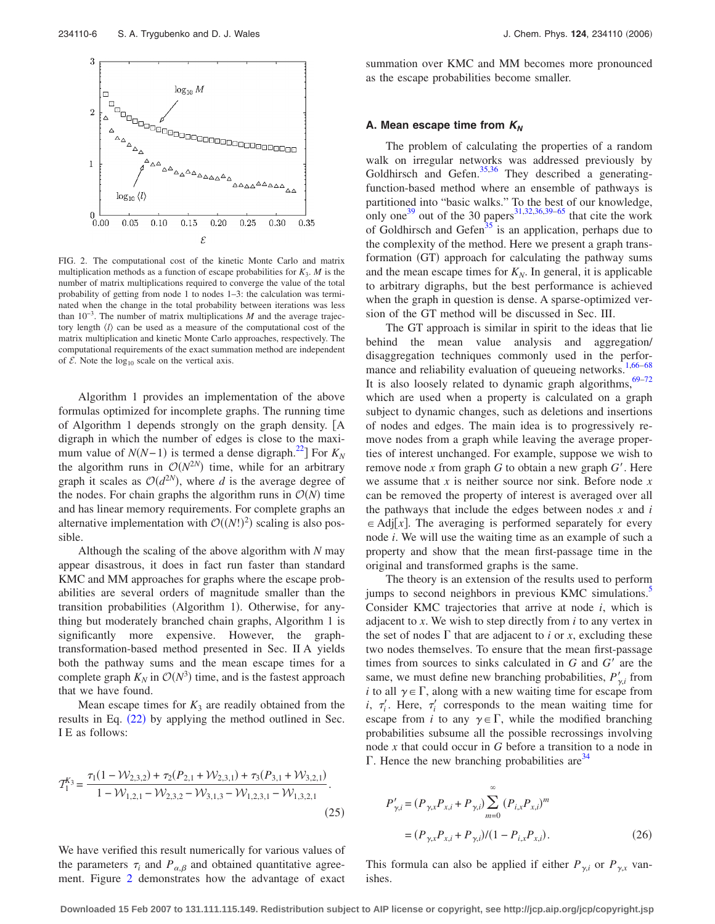

FIG. 2. The computational cost of the kinetic Monte Carlo and matrix multiplication methods as a function of escape probabilities for  $K_3$ . *M* is the number of matrix multiplications required to converge the value of the total probability of getting from node 1 to nodes 1–3: the calculation was terminated when the change in the total probability between iterations was less than 10−3. The number of matrix multiplications *M* and the average trajectory length  $\langle l \rangle$  can be used as a measure of the computational cost of the matrix multiplication and kinetic Monte Carlo approaches, respectively. The computational requirements of the exact summation method are independent of  $\mathcal E$ . Note the log<sub>10</sub> scale on the vertical axis.

Algorithm 1 provides an implementation of the above formulas optimized for incomplete graphs. The running time of Algorithm 1 depends strongly on the graph density. [A digraph in which the number of edges is close to the maximum value of  $N(N-1)$  is termed a dense digraph.<sup>22</sup>] For  $K_N$ the algorithm runs in  $O(N^{2N})$  time, while for an arbitrary graph it scales as  $O(d^{2N})$ , where *d* is the average degree of the nodes. For chain graphs the algorithm runs in  $O(N)$  time and has linear memory requirements. For complete graphs an alternative implementation with  $O((N!)^2)$  scaling is also possible.

Although the scaling of the above algorithm with *N* may appear disastrous, it does in fact run faster than standard KMC and MM approaches for graphs where the escape probabilities are several orders of magnitude smaller than the transition probabilities (Algorithm 1). Otherwise, for anything but moderately branched chain graphs, Algorithm 1 is significantly more expensive. However, the graphtransformation-based method presented in Sec. II A yields both the pathway sums and the mean escape times for a complete graph  $K_N$  in  $\mathcal{O}(N^3)$  time, and is the fastest approach that we have found.

Mean escape times for  $K_3$  are readily obtained from the results in Eq.  $(22)$  $(22)$  $(22)$  by applying the method outlined in Sec. I E as follows:

$$
T_1^{K_3} = \frac{\tau_1 (1 - \mathcal{W}_{2,3,2}) + \tau_2 (P_{2,1} + \mathcal{W}_{2,3,1}) + \tau_3 (P_{3,1} + \mathcal{W}_{3,2,1})}{1 - \mathcal{W}_{1,2,1} - \mathcal{W}_{2,3,2} - \mathcal{W}_{3,1,3} - \mathcal{W}_{1,2,3,1} - \mathcal{W}_{1,3,2,1}}.
$$
\n(25)

We have verified this result numerically for various values of the parameters  $\tau_i$  and  $P_{\alpha,\beta}$  and obtained quantitative agreement. Figure 2 demonstrates how the advantage of exact

summation over KMC and MM becomes more pronounced as the escape probabilities become smaller.

#### **A. Mean escape time from**  $K_N$

The problem of calculating the properties of a random walk on irregular networks was addressed previously by Goldhirsch and Gefen. $35,36$  They described a generatingfunction-based method where an ensemble of pathways is partitioned into "basic walks." To the best of our knowledge, only one<sup>39</sup> out of the 30 papers<sup>31,32,36,39–65</sup> that cite the work of Goldhirsch and Gefen<sup>35</sup> is an application, perhaps due to the complexity of the method. Here we present a graph transformation (GT) approach for calculating the pathway sums and the mean escape times for  $K_N$ . In general, it is applicable to arbitrary digraphs, but the best performance is achieved when the graph in question is dense. A sparse-optimized version of the GT method will be discussed in Sec. III.

The GT approach is similar in spirit to the ideas that lie behind the mean value analysis and aggregation/ disaggregation techniques commonly used in the perfor-mance and reliability evaluation of queueing networks.<sup>1,[66–68](#page-15-0)</sup> It is also loosely related to dynamic graph algorithms,  $69-72$ which are used when a property is calculated on a graph subject to dynamic changes, such as deletions and insertions of nodes and edges. The main idea is to progressively remove nodes from a graph while leaving the average properties of interest unchanged. For example, suppose we wish to remove node *x* from graph *G* to obtain a new graph *G*. Here we assume that *x* is neither source nor sink. Before node *x* can be removed the property of interest is averaged over all the pathways that include the edges between nodes *x* and *i*  $\in$  Adj[x]. The averaging is performed separately for every node *i*. We will use the waiting time as an example of such a property and show that the mean first-passage time in the original and transformed graphs is the same.

The theory is an extension of the results used to perform jumps to second neighbors in previous KMC simulations. Consider KMC trajectories that arrive at node *i*, which is adjacent to *x*. We wish to step directly from *i* to any vertex in the set of nodes  $\Gamma$  that are adjacent to *i* or *x*, excluding these two nodes themselves. To ensure that the mean first-passage times from sources to sinks calculated in *G* and *G'* are the same, we must define new branching probabilities,  $P'_{\gamma i}$  from *i* to all  $\gamma \in \Gamma$ , along with a new waiting time for escape from *i*,  $\tau_i'$ . Here,  $\tau_i'$  corresponds to the mean waiting time for escape from *i* to any  $\gamma \in \Gamma$ , while the modified branching probabilities subsume all the possible recrossings involving node *x* that could occur in *G* before a transition to a node in  $\Gamma$ . Hence the new branching probabilities are  $34$ 

$$
P'_{\gamma,i} = (P_{\gamma,x} P_{x,i} + P_{\gamma,i}) \sum_{m=0}^{\infty} (P_{i,x} P_{x,i})^m
$$
  
=  $(P_{\gamma,x} P_{x,i} + P_{\gamma,i})/(1 - P_{i,x} P_{x,i}).$  (26)

This formula can also be applied if either  $P_{\gamma,i}$  or  $P_{\gamma,x}$  vanishes.

**Downloaded 15 Feb 2007 to 131.111.115.149. Redistribution subject to AIP license or copyright, see http://jcp.aip.org/jcp/copyright.jsp**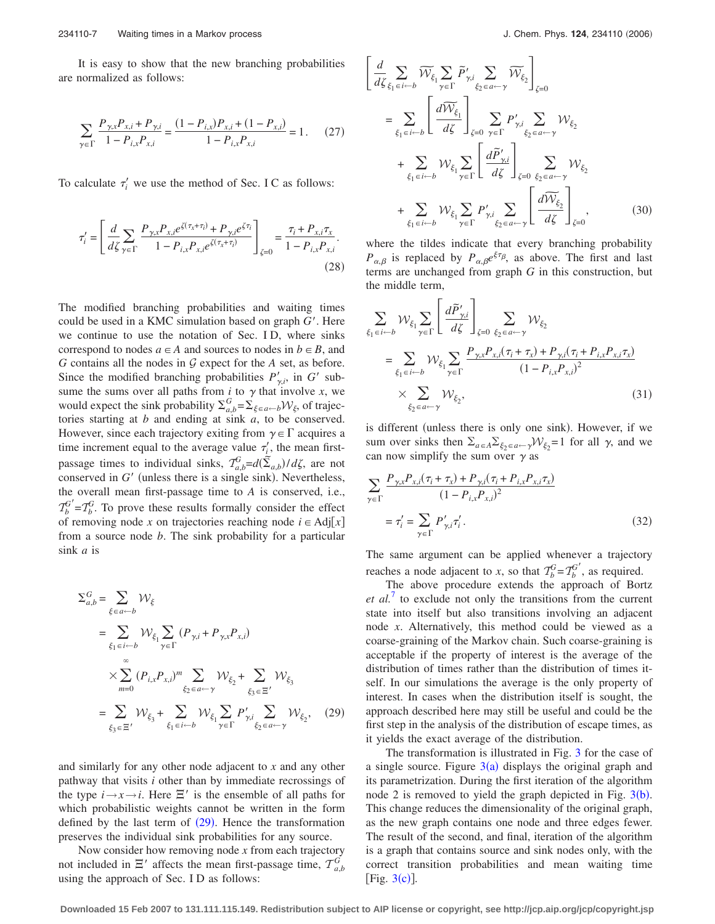It is easy to show that the new branching probabilities are normalized as follows:

$$
\sum_{\gamma \in \Gamma} \frac{P_{\gamma x} P_{x,i} + P_{\gamma i}}{1 - P_{i,x} P_{x,i}} = \frac{(1 - P_{i,x}) P_{x,i} + (1 - P_{x,i})}{1 - P_{i,x} P_{x,i}} = 1. \tag{27}
$$

To calculate  $\tau_i'$  we use the method of Sec. I C as follows:

$$
\tau'_{i} = \left[ \frac{d}{d\zeta} \sum_{\gamma \in \Gamma} \frac{P_{\gamma, x} P_{x, i} e^{\zeta(\tau_x + \tau_i)} + P_{\gamma, i} e^{\zeta \tau_i}}{1 - P_{i, x} P_{x, i} e^{\zeta(\tau_x + \tau_i)}} \right]_{\zeta = 0} = \frac{\tau_i + P_{x, i} \tau_x}{1 - P_{i, x} P_{x, i}}.
$$
\n(28)

The modified branching probabilities and waiting times could be used in a KMC simulation based on graph *G*. Here we continue to use the notation of Sec. I D, where sinks correspond to nodes  $a \in A$  and sources to nodes in  $b \in B$ , and  $G$  contains all the nodes in  $G$  expect for the  $A$  set, as before. Since the modified branching probabilities  $P'_{\gamma,i}$ , in  $G'$  subsume the sums over all paths from  $i$  to  $\gamma$  that involve  $x$ , we would expect the sink probability  $\Sigma_{a,b}^G = \Sigma_{\xi \in a \leftarrow b} \mathcal{W}_{\xi}$ , of trajectories starting at *b* and ending at sink *a*, to be conserved. However, since each trajectory exiting from  $\gamma \in \Gamma$  acquires a time increment equal to the average value  $\tau_i'$ , the mean firstpassage times to individual sinks,  $T_{a,b}^G = d(\tilde{\Sigma}_{a,b})/d\zeta$ , are not conserved in  $G'$  (unless there is a single sink). Nevertheless, the overall mean first-passage time to *A* is conserved, i.e.,  $T_b^G = T_b^G$ . To prove these results formally consider the effect of removing node *x* on trajectories reaching node  $i \in \text{Adj}[x]$ from a source node *b*. The sink probability for a particular sink *a* is

$$
\Sigma_{a,b}^{G} = \sum_{\xi \in a \leftarrow b} \mathcal{W}_{\xi}
$$
\n
$$
= \sum_{\xi_1 \in i \leftarrow b} \mathcal{W}_{\xi_1} \sum_{\gamma \in \Gamma} (P_{\gamma,i} + P_{\gamma,x} P_{x,i})
$$
\n
$$
\times \sum_{m=0}^{\infty} (P_{i,x} P_{x,i})^m \sum_{\xi_2 \in a \leftarrow \gamma} \mathcal{W}_{\xi_2} + \sum_{\xi_3 \in \Xi'} \mathcal{W}_{\xi_3}
$$
\n
$$
= \sum_{\xi_3 \in \Xi'} \mathcal{W}_{\xi_3} + \sum_{\xi_1 \in i \leftarrow b} \mathcal{W}_{\xi_1} \sum_{\gamma \in \Gamma} P'_{\gamma,i} \sum_{\xi_2 \in a \leftarrow \gamma} \mathcal{W}_{\xi_2}, \quad (29)
$$

and similarly for any other node adjacent to *x* and any other pathway that visits *i* other than by immediate recrossings of the type  $i \rightarrow x \rightarrow i$ . Here  $\Xi'$  is the ensemble of all paths for which probabilistic weights cannot be written in the form defined by the last term of  $(29)$ . Hence the transformation preserves the individual sink probabilities for any source.

Now consider how removing node *x* from each trajectory not included in  $\Xi'$  affects the mean first-passage time,  $T_{a,b}^{\tilde{G}}$ using the approach of Sec. I D as follows:

$$
\begin{split}\n&\left[\frac{d}{d\zeta_{\xi_{1}\in i-b}}\widetilde{\mathcal{W}}_{\xi_{1}}\sum_{\gamma\in\Gamma}\widetilde{P}_{\gamma,i}'\sum_{\xi_{2}\in a-\gamma}\widetilde{\mathcal{W}}_{\xi_{2}}\right]_{\zeta=0} \\
&=\sum_{\xi_{1}\in i-b}\left[\frac{d\widetilde{\mathcal{W}}_{\xi_{1}}}{d\zeta}\right]_{\zeta=0}\sum_{\gamma\in\Gamma}P_{\gamma,i}'\sum_{\xi_{2}\in a-\gamma}\mathcal{W}_{\xi_{2}} \\
&+\sum_{\xi_{1}\in i-b}\mathcal{W}_{\xi_{1}}\sum_{\gamma\in\Gamma}\left[\frac{d\widetilde{P}_{\gamma,i}'}{d\zeta}\right]_{\zeta=0}\sum_{\xi_{2}\in a-\gamma}\mathcal{W}_{\xi_{2}} \\
&+\sum_{\xi_{1}\in i-b}\mathcal{W}_{\xi_{1}}\sum_{\gamma\in\Gamma}P_{\gamma,i}'\sum_{\xi_{2}\in a-\gamma}\left[\frac{d\widetilde{\mathcal{W}}_{\xi_{2}}}{d\zeta}\right]_{\zeta=0},\n\end{split} \tag{30}
$$

where the tildes indicate that every branching probability  $P_{\alpha,\beta}$  is replaced by  $P_{\alpha,\beta}e^{\xi\tau_{\beta}}$ , as above. The first and last terms are unchanged from graph *G* in this construction, but the middle term,

$$
\sum_{\xi_1 \in i \leftarrow b} \mathcal{W}_{\xi_1} \sum_{\gamma \in \Gamma} \left[ \frac{d\widetilde{P}'_{\gamma,i}}{d\zeta} \right]_{\zeta=0} \sum_{\xi_2 \in a \leftarrow \gamma} \mathcal{W}_{\xi_2}
$$
\n
$$
= \sum_{\xi_1 \in i \leftarrow b} \mathcal{W}_{\xi_1} \sum_{\gamma \in \Gamma} \frac{P_{\gamma,x} P_{x,i}(\tau_i + \tau_x) + P_{\gamma,i}(\tau_i + P_{i,x} P_{x,i} \tau_x)}{(1 - P_{i,x} P_{x,i})^2}
$$
\n
$$
\times \sum_{\xi_2 \in a \leftarrow \gamma} \mathcal{W}_{\xi_2},
$$
\n(31)

is different (unless there is only one sink). However, if we sum over sinks then  $\Sigma_{a \in A} \Sigma_{\xi_2 \in a \leftarrow \gamma} \mathcal{W}_{\xi_2} = 1$  for all  $\gamma$ , and we can now simplify the sum over  $\gamma$  as

$$
\sum_{\gamma \in \Gamma} \frac{P_{\gamma,x} P_{x,i}(\tau_i + \tau_x) + P_{\gamma,i}(\tau_i + P_{i,x} P_{x,i} \tau_x)}{(1 - P_{i,x} P_{x,i})^2}
$$
  
= 
$$
\tau_i' = \sum_{\gamma \in \Gamma} P'_{\gamma,i} \tau_i'.
$$
 (32)

The same argument can be applied whenever a trajectory reaches a node adjacent to *x*, so that  $T_b^G = T_b^{G'}$ , as required.

The above procedure extends the approach of Bortz *et al.*<sup>[7](#page-14-0)</sup> to exclude not only the transitions from the current state into itself but also transitions involving an adjacent node *x*. Alternatively, this method could be viewed as a coarse-graining of the Markov chain. Such coarse-graining is acceptable if the property of interest is the average of the distribution of times rather than the distribution of times itself. In our simulations the average is the only property of interest. In cases when the distribution itself is sought, the approach described here may still be useful and could be the first step in the analysis of the distribution of escape times, as it yields the exact average of the distribution.

The transformation is illustrated in Fig. [3](#page-7-0) for the case of a single source. Figure  $3(a)$  $3(a)$  displays the original graph and its parametrization. During the first iteration of the algorithm node 2 is removed to yield the graph depicted in Fig.  $3(b)$  $3(b)$ . This change reduces the dimensionality of the original graph, as the new graph contains one node and three edges fewer. The result of the second, and final, iteration of the algorithm is a graph that contains source and sink nodes only, with the correct transition probabilities and mean waiting time [Fig.  $3(c)$  $3(c)$ ].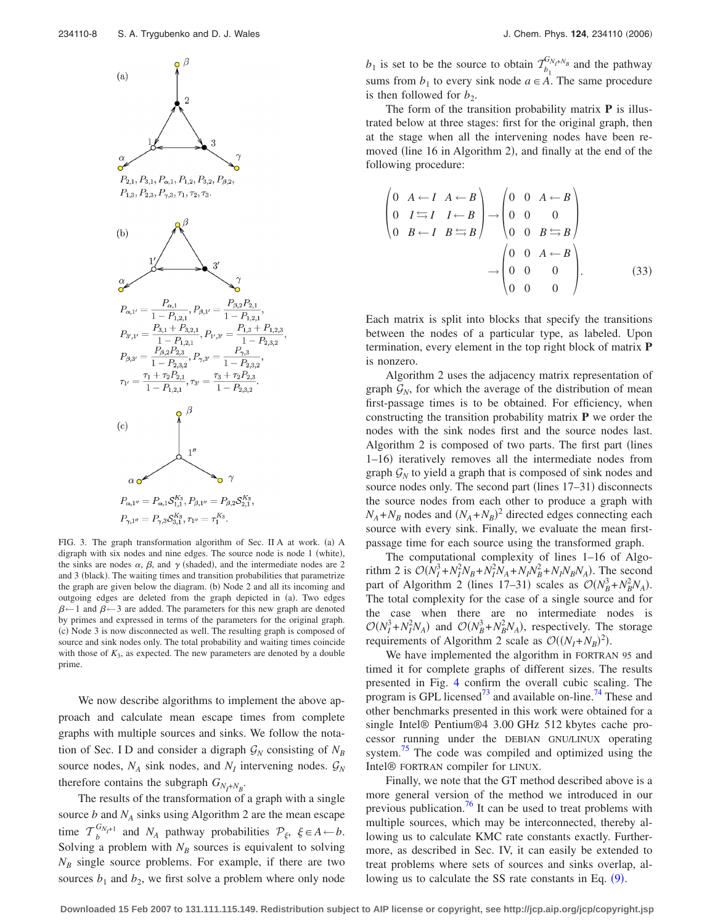<span id="page-7-0"></span>

FIG. 3. The graph transformation algorithm of Sec. II A at work. (a) A digraph with six nodes and nine edges. The source node is node 1 (white), the sinks are nodes  $\alpha$ ,  $\beta$ , and  $\gamma$  (shaded), and the intermediate nodes are 2 and 3 (black). The waiting times and transition probabilities that parametrize the graph are given below the diagram. (b) Node 2 and all its incoming and outgoing edges are deleted from the graph depicted in (a). Two edges  $\beta$  ← 1 and  $\beta$  ← 3 are added. The parameters for this new graph are denoted by primes and expressed in terms of the parameters for the original graph. (c) Node 3 is now disconnected as well. The resulting graph is composed of source and sink nodes only. The total probability and waiting times coincide with those of  $K_3$ , as expected. The new parameters are denoted by a double prime.

We now describe algorithms to implement the above approach and calculate mean escape times from complete graphs with multiple sources and sinks. We follow the notation of Sec. I D and consider a digraph  $\mathcal{G}_N$  consisting of  $N_B$ source nodes,  $N_A$  sink nodes, and  $N_I$  intervening nodes.  $\mathcal{G}_N$ therefore contains the subgraph  $G_{N_I+N_B}$ .

The results of the transformation of a graph with a single source  $b$  and  $N_A$  sinks using Algorithm 2 are the mean escape time  $\mathcal{T}_{b}^{G_{N_f+1}}$  and  $N_A$  pathway probabilities  $\mathcal{P}_{\xi}$ ,  $\xi \in A \leftarrow b$ . Solving a problem with  $N_B$  sources is equivalent to solving  $N_B$  single source problems. For example, if there are two sources  $b_1$  and  $b_2$ , we first solve a problem where only node

 $b_1$  is set to be the source to obtain  $\mathcal{T}_{b_1}^{G_{N_f+N_B}}$  and the pathway sums from  $b_1$  to every sink node  $a \in \overrightarrow{A}$ . The same procedure is then followed for  $b_2$ .

The form of the transition probability matrix **P** is illustrated below at three stages: first for the original graph, then at the stage when all the intervening nodes have been removed (line 16 in Algorithm 2), and finally at the end of the following procedure:

$$
\begin{pmatrix}\n0 & A \leftarrow I & A \leftarrow B \\
0 & I \leftarrow I & I \leftarrow B \\
0 & B \leftarrow I & B \leftarrow B\n\end{pmatrix}\n\rightarrow\n\begin{pmatrix}\n0 & 0 & A \leftarrow B \\
0 & 0 & 0 \\
0 & 0 & B \leftarrow B\n\end{pmatrix}\n\end{pmatrix}\n\rightarrow\n\begin{pmatrix}\n0 & 0 & A \leftarrow B \\
0 & 0 & B \leftarrow B \\
0 & 0 & B \leftarrow B \\
0 & 0 & 0 \\
0 & 0 & 0\n\end{pmatrix}.
$$
\n(33)

Each matrix is split into blocks that specify the transitions between the nodes of a particular type, as labeled. Upon termination, every element in the top right block of matrix **P** is nonzero.

Algorithm 2 uses the adjacency matrix representation of graph  $\mathcal{G}_N$ , for which the average of the distribution of mean first-passage times is to be obtained. For efficiency, when constructing the transition probability matrix **P** we order the nodes with the sink nodes first and the source nodes last. Algorithm 2 is composed of two parts. The first part (lines 1-16) iteratively removes all the intermediate nodes from graph  $\mathcal{G}_N$  to yield a graph that is composed of sink nodes and source nodes only. The second part (lines 17-31) disconnects the source nodes from each other to produce a graph with  $N_A + N_B$  nodes and  $(N_A + N_B)^2$  directed edges connecting each source with every sink. Finally, we evaluate the mean firstpassage time for each source using the transformed graph.

The computational complexity of lines 1–16 of Algorithm 2 is  $O(N_I^3 + N_I^2 N_B + N_I^2 N_A + N_I N_B^2 + N_I N_B N_A)$ . The second part of Algorithm 2 (lines 17–31) scales as  $O(N_B^3 + N_B^2 N_A)$ . The total complexity for the case of a single source and for the case when there are no intermediate nodes is  $O(N_I^3 + N_I^2 N_A)$  and  $O(N_B^3 + N_B^2 N_A)$ , respectively. The storage requirements of Algorithm 2 scale as  $\mathcal{O}((N_I + N_B)^2)$ .

We have implemented the algorithm in FORTRAN 95 and timed it for complete graphs of different sizes. The results presented in Fig. [4](#page-8-0) confirm the overall cubic scaling. The program is GPL licensed<sup>73</sup> and available on-line.<sup>74</sup> These and other benchmarks presented in this work were obtained for a single Intel® Pentium®4 3.00 GHz 512 kbytes cache processor running under the DEBIAN GNU/LINUX operating system.<sup>75</sup> The code was compiled and optimized using the Intel® FORTRAN compiler for LINUX.

Finally, we note that the GT method described above is a more general version of the method we introduced in our previous publication.<sup>76</sup> It can be used to treat problems with multiple sources, which may be interconnected, thereby allowing us to calculate KMC rate constants exactly. Furthermore, as described in Sec. IV, it can easily be extended to treat problems where sets of sources and sinks overlap, allowing us to calculate the SS rate constants in Eq.  $(9)$  $(9)$  $(9)$ .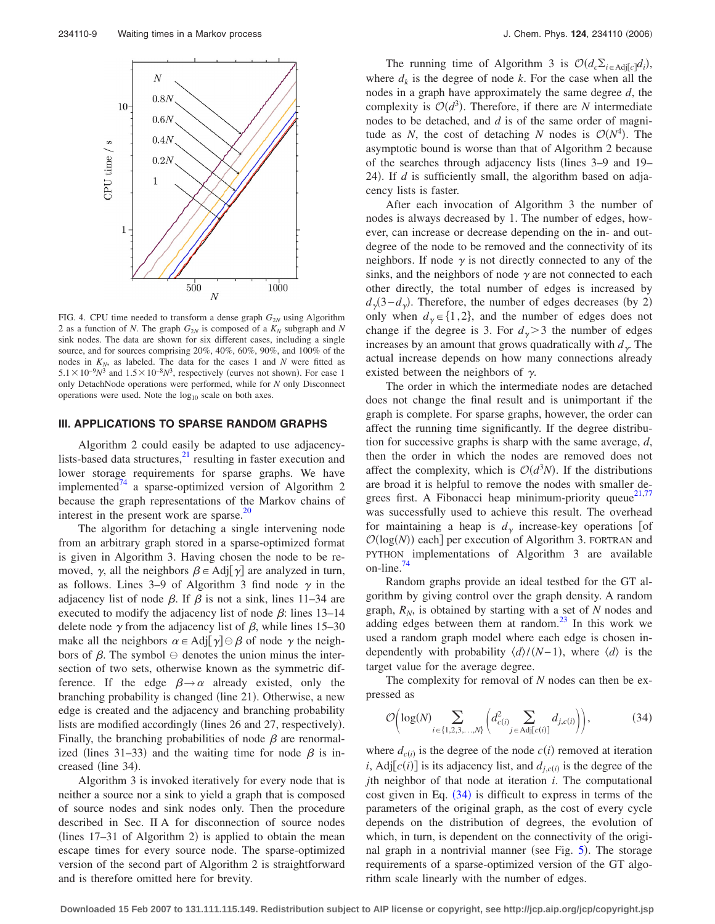<span id="page-8-0"></span>

FIG. 4. CPU time needed to transform a dense graph  $G_{2N}$  using Algorithm 2 as a function of *N*. The graph  $G_{2N}$  is composed of a  $K_N$  subgraph and *N* sink nodes. The data are shown for six different cases, including a single source, and for sources comprising 20%, 40%, 60%, 90%, and 100% of the nodes in  $K_N$ , as labeled. The data for the cases 1 and *N* were fitted as  $5.1 \times 10^{-9} N^3$  and  $1.5 \times 10^{-8} N^3$ , respectively (curves not shown). For case 1 only DetachNode operations were performed, while for *N* only Disconnect operations were used. Note the  $log_{10}$  scale on both axes.

# **III. APPLICATIONS TO SPARSE RANDOM GRAPHS**

Algorithm 2 could easily be adapted to use adjacencylists-based data structures, $^{21}$  resulting in faster execution and lower storage requirements for sparse graphs. We have implemented $^{74}$  a sparse-optimized version of Algorithm 2 because the graph representations of the Markov chains of interest in the present work are sparse. $^{20}$ 

The algorithm for detaching a single intervening node from an arbitrary graph stored in a sparse-optimized format is given in Algorithm 3. Having chosen the node to be removed,  $\gamma$ , all the neighbors  $\beta \in \text{Adj}[\gamma]$  are analyzed in turn, as follows. Lines 3–9 of Algorithm 3 find node  $\gamma$  in the adjacency list of node  $\beta$ . If  $\beta$  is not a sink, lines 11–34 are executed to modify the adjacency list of node  $\beta$ : lines 13–14 delete node  $\gamma$  from the adjacency list of  $\beta$ , while lines 15–30 make all the neighbors  $\alpha \in \text{Adj}[\gamma] \ominus \beta$  of node  $\gamma$  the neighbors of  $\beta$ . The symbol  $\ominus$  denotes the union minus the intersection of two sets, otherwise known as the symmetric difference. If the edge  $\beta \rightarrow \alpha$  already existed, only the branching probability is changed (line 21). Otherwise, a new edge is created and the adjacency and branching probability lists are modified accordingly (lines 26 and 27, respectively). Finally, the branching probabilities of node  $\beta$  are renormalized (lines 31–33) and the waiting time for node  $\beta$  is increased (line 34).

Algorithm 3 is invoked iteratively for every node that is neither a source nor a sink to yield a graph that is composed of source nodes and sink nodes only. Then the procedure described in Sec. II A for disconnection of source nodes (lines  $17-31$  of Algorithm 2) is applied to obtain the mean escape times for every source node. The sparse-optimized version of the second part of Algorithm 2 is straightforward and is therefore omitted here for brevity.

The running time of Algorithm 3 is  $\mathcal{O}(d_c \Sigma_{i \in \text{Adj}[c]} d_i)$ , where  $d_k$  is the degree of node k. For the case when all the nodes in a graph have approximately the same degree *d*, the complexity is  $O(d^3)$ . Therefore, if there are *N* intermediate nodes to be detached, and *d* is of the same order of magnitude as *N*, the cost of detaching *N* nodes is  $O(N^4)$ . The asymptotic bound is worse than that of Algorithm 2 because of the searches through adjacency lists (lines 3–9 and 19– 24). If  $d$  is sufficiently small, the algorithm based on adjacency lists is faster.

After each invocation of Algorithm 3 the number of nodes is always decreased by 1. The number of edges, however, can increase or decrease depending on the in- and outdegree of the node to be removed and the connectivity of its neighbors. If node  $\gamma$  is not directly connected to any of the sinks, and the neighbors of node  $\gamma$  are not connected to each other directly, the total number of edges is increased by  $d_{\gamma}(3-d_{\gamma})$ . Therefore, the number of edges decreases (by 2) only when  $d_{\gamma} \in \{1,2\}$ , and the number of edges does not change if the degree is 3. For  $d<sub>y</sub>$   $>$  3 the number of edges increases by an amount that grows quadratically with  $d_{\gamma}$ . The actual increase depends on how many connections already existed between the neighbors of  $\gamma$ .

The order in which the intermediate nodes are detached does not change the final result and is unimportant if the graph is complete. For sparse graphs, however, the order can affect the running time significantly. If the degree distribution for successive graphs is sharp with the same average, *d*, then the order in which the nodes are removed does not affect the complexity, which is  $O(d^3N)$ . If the distributions are broad it is helpful to remove the nodes with smaller degrees first. A Fibonacci heap minimum-priority queue $2^{1,77}$  $2^{1,77}$  $2^{1,77}$ was successfully used to achieve this result. The overhead for maintaining a heap is  $d<sub>y</sub>$  increase-key operations [of  $\mathcal{O}(\log(N))$  each] per execution of Algorithm 3. FORTRAN and PYTHON implementations of Algorithm 3 are available on-line.

Random graphs provide an ideal testbed for the GT algorithm by giving control over the graph density. A random graph,  $R_N$ , is obtained by starting with a set of  $N$  nodes and adding edges between them at random. $^{23}$  In this work we used a random graph model where each edge is chosen independently with probability  $\langle d \rangle / (N-1)$ , where  $\langle d \rangle$  is the target value for the average degree.

The complexity for removal of *N* nodes can then be expressed as

$$
\mathcal{O}\left(\log(N)\sum_{i\in\{1,2,3,\ldots,N\}}\left(d_{c(i)}^2\sum_{j\in\text{Adj}[c(i)]}d_{j,c(i)}\right)\right),\tag{34}
$$

where  $d_{c(i)}$  is the degree of the node  $c(i)$  removed at iteration *i*, Adj $[c(i)]$  is its adjacency list, and  $d_{j,c(i)}$  is the degree of the *j*th neighbor of that node at iteration *i*. The computational cost given in Eq.  $(34)$  is difficult to express in terms of the parameters of the original graph, as the cost of every cycle depends on the distribution of degrees, the evolution of which, in turn, is dependent on the connectivity of the origi-nal graph in a nontrivial manner (see Fig. [5](#page-9-0)). The storage requirements of a sparse-optimized version of the GT algorithm scale linearly with the number of edges.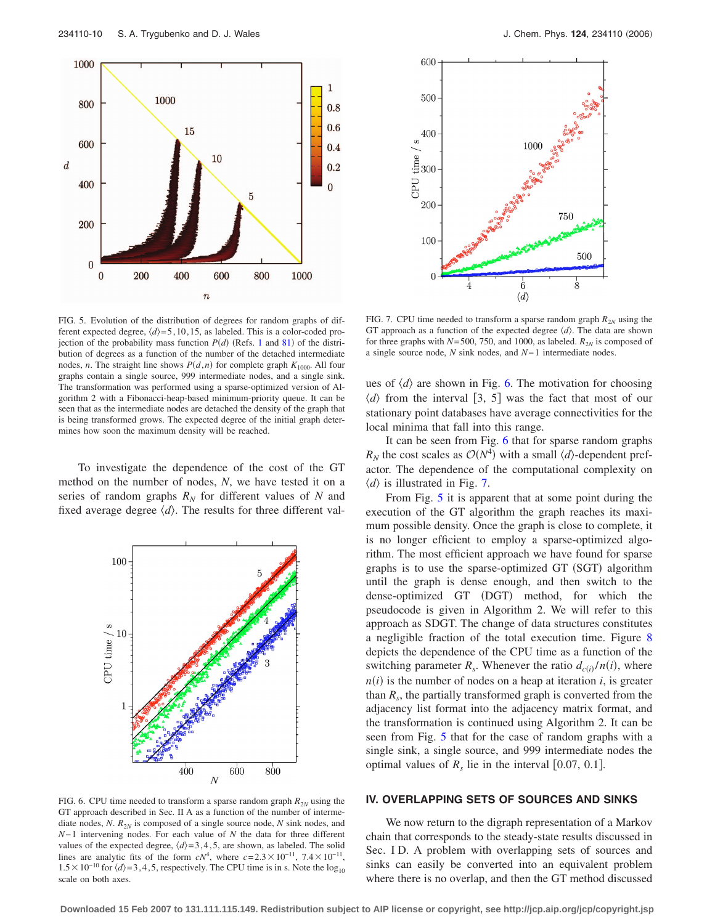<span id="page-9-0"></span>

FIG. 5. Evolution of the distribution of degrees for random graphs of different expected degree,  $\langle d \rangle = 5, 10, 15$ , as labeled. This is a color-coded projection of the probability mass function  $P(d)$  (Refs. [1](#page-14-0) and [81](#page-15-0)) of the distribution of degrees as a function of the number of the detached intermediate nodes, *n*. The straight line shows  $P(d, n)$  for complete graph  $K_{1000}$ . All four graphs contain a single source, 999 intermediate nodes, and a single sink. The transformation was performed using a sparse-optimized version of Algorithm 2 with a Fibonacci-heap-based minimum-priority queue. It can be seen that as the intermediate nodes are detached the density of the graph that is being transformed grows. The expected degree of the initial graph determines how soon the maximum density will be reached.

To investigate the dependence of the cost of the GT method on the number of nodes, *N*, we have tested it on a series of random graphs  $R_N$  for different values of  $N$  and fixed average degree  $\langle d \rangle$ . The results for three different val-



FIG. 6. CPU time needed to transform a sparse random graph  $R_{2N}$  using the GT approach described in Sec. II A as a function of the number of intermediate nodes, *N*. *R*2*<sup>N</sup>* is composed of a single source node, *N* sink nodes, and *N*−1 intervening nodes. For each value of *N* the data for three different values of the expected degree,  $\langle d \rangle = 3, 4, 5$ , are shown, as labeled. The solid lines are analytic fits of the form  $cN^4$ , where  $c=2.3\times10^{-11}$ ,  $7.4\times10^{-11}$ ,  $1.5 \times 10^{-10}$  for  $\langle d \rangle = 3, 4, 5$ , respectively. The CPU time is in s. Note the log<sub>10</sub> scale on both axes.



FIG. 7. CPU time needed to transform a sparse random graph  $R_{2N}$  using the GT approach as a function of the expected degree  $\langle d \rangle$ . The data are shown for three graphs with  $N = 500$ , 750, and 1000, as labeled.  $R_{2N}$  is composed of a single source node, *N* sink nodes, and *N*− 1 intermediate nodes.

ues of  $\langle d \rangle$  are shown in Fig. 6. The motivation for choosing  $\langle d \rangle$  from the interval [3, 5] was the fact that most of our stationary point databases have average connectivities for the local minima that fall into this range.

It can be seen from Fig. 6 that for sparse random graphs  $R_N$  the cost scales as  $O(N^4)$  with a small  $\langle d \rangle$ -dependent prefactor. The dependence of the computational complexity on  $\langle d \rangle$  is illustrated in Fig. 7.

From Fig. 5 it is apparent that at some point during the execution of the GT algorithm the graph reaches its maximum possible density. Once the graph is close to complete, it is no longer efficient to employ a sparse-optimized algorithm. The most efficient approach we have found for sparse graphs is to use the sparse-optimized GT (SGT) algorithm until the graph is dense enough, and then switch to the dense-optimized GT (DGT) method, for which the pseudocode is given in Algorithm 2. We will refer to this approach as SDGT. The change of data structures constitutes a negligible fraction of the total execution time. Figure [8](#page-10-0) depicts the dependence of the CPU time as a function of the switching parameter  $R_s$ . Whenever the ratio  $d_{c(i)}/n(i)$ , where  $n(i)$  is the number of nodes on a heap at iteration *i*, is greater than  $R_s$ , the partially transformed graph is converted from the adjacency list format into the adjacency matrix format, and the transformation is continued using Algorithm 2. It can be seen from Fig. 5 that for the case of random graphs with a single sink, a single source, and 999 intermediate nodes the optimal values of  $R_s$  lie in the interval [0.07, 0.1].

#### **IV. OVERLAPPING SETS OF SOURCES AND SINKS**

We now return to the digraph representation of a Markov chain that corresponds to the steady-state results discussed in Sec. ID. A problem with overlapping sets of sources and sinks can easily be converted into an equivalent problem where there is no overlap, and then the GT method discussed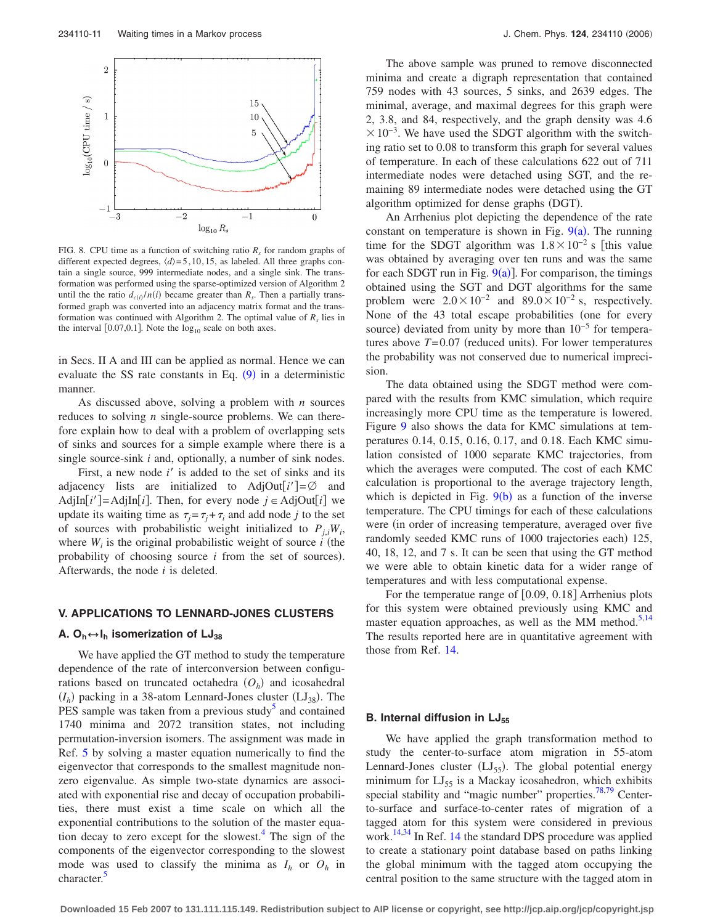<span id="page-10-0"></span>

FIG. 8. CPU time as a function of switching ratio  $R_s$  for random graphs of different expected degrees,  $\langle d \rangle = 5, 10, 15$ , as labeled. All three graphs contain a single source, 999 intermediate nodes, and a single sink. The transformation was performed using the sparse-optimized version of Algorithm 2 until the the ratio  $d_{c(i)}/n(i)$  became greater than  $R_s$ . Then a partially transformed graph was converted into an adjacency matrix format and the transformation was continued with Algorithm 2. The optimal value of  $R<sub>s</sub>$  lies in the interval  $[0.07, 0.1]$ . Note the  $log_{10}$  scale on both axes.

in Secs. II A and III can be applied as normal. Hence we can evaluate the SS rate constants in Eq.  $(9)$  $(9)$  $(9)$  in a deterministic manner.

As discussed above, solving a problem with *n* sources reduces to solving *n* single-source problems. We can therefore explain how to deal with a problem of overlapping sets of sinks and sources for a simple example where there is a single source-sink *i* and, optionally, a number of sink nodes.

First, a new node *i'* is added to the set of sinks and its adjacency lists are initialized to AdjOut $[i'] = \emptyset$  and AdjIn<sup>[i']</sup>=AdjIn<sup>[i]</sup>. Then, for every node  $j \in \text{AdjOut}[i]$  we update its waiting time as  $\tau_i = \tau_i + \tau_i$  and add node *j* to the set of sources with probabilistic weight initialized to  $P_{j,i}W_i$ , where  $W_i$  is the original probabilistic weight of source  $i$  (the probability of choosing source  $i$  from the set of sources). Afterwards, the node *i* is deleted.

## **V. APPLICATIONS TO LENNARD-JONES CLUSTERS**

## **A.**  $O_h \leftrightarrow I_h$  **isomerization of LJ**<sub>38</sub>

We have applied the GT method to study the temperature dependence of the rate of interconversion between configurations based on truncated octahedra  $(O_h)$  and icosahedral  $(I_h)$  packing in a 38-atom Lennard-Jones cluster  $(LJ_{38})$ . The PES sample was taken from a previous study<sup>3</sup> and contained 1740 minima and 2072 transition states, not including permutation-inversion isomers. The assignment was made in Ref. [5](#page-14-0) by solving a master equation numerically to find the eigenvector that corresponds to the smallest magnitude nonzero eigenvalue. As simple two-state dynamics are associated with exponential rise and decay of occupation probabilities, there must exist a time scale on which all the exponential contributions to the solution of the master equation decay to zero except for the slowest.<sup>4</sup> The sign of the components of the eigenvector corresponding to the slowest mode was used to classify the minima as  $I_h$  or  $O_h$  in character.<sup>5</sup>

The above sample was pruned to remove disconnected minima and create a digraph representation that contained 759 nodes with 43 sources, 5 sinks, and 2639 edges. The minimal, average, and maximal degrees for this graph were 2, 3.8, and 84, respectively, and the graph density was 4.6  $\times 10^{-3}$ . We have used the SDGT algorithm with the switching ratio set to 0.08 to transform this graph for several values of temperature. In each of these calculations 622 out of 711 intermediate nodes were detached using SGT, and the remaining 89 intermediate nodes were detached using the GT algorithm optimized for dense graphs (DGT).

An Arrhenius plot depicting the dependence of the rate constant on temperature is shown in Fig.  $9(a)$  $9(a)$ . The running time for the SDGT algorithm was  $1.8 \times 10^{-2}$  s [this value was obtained by averaging over ten runs and was the same for each SDGT run in Fig.  $9(a)$  $9(a)$ ]. For comparison, the timings obtained using the SGT and DGT algorithms for the same problem were  $2.0 \times 10^{-2}$  and  $89.0 \times 10^{-2}$  s, respectively. None of the 43 total escape probabilities (one for every source) deviated from unity by more than  $10^{-5}$  for temperatures above  $T = 0.07$  (reduced units). For lower temperatures the probability was not conserved due to numerical imprecision.

The data obtained using the SDGT method were compared with the results from KMC simulation, which require increasingly more CPU time as the temperature is lowered. Figure [9](#page-11-0) also shows the data for KMC simulations at temperatures 0.14, 0.15, 0.16, 0.17, and 0.18. Each KMC simulation consisted of 1000 separate KMC trajectories, from which the averages were computed. The cost of each KMC calculation is proportional to the average trajectory length, which is depicted in Fig.  $9(b)$  $9(b)$  as a function of the inverse temperature. The CPU timings for each of these calculations were (in order of increasing temperature, averaged over five randomly seeded KMC runs of 1000 trajectories each) 125, 40, 18, 12, and 7 s. It can be seen that using the GT method we were able to obtain kinetic data for a wider range of temperatures and with less computational expense.

For the temperatue range of  $[0.09, 0.18]$  Arrhenius plots for this system were obtained previously using KMC and master equation approaches, as well as the MM method.<sup>5,14</sup> The results reported here are in quantitative agreement with those from Ref. [14.](#page-14-0)

## **B. Internal diffusion in LJ55**

We have applied the graph transformation method to study the center-to-surface atom migration in 55-atom Lennard-Jones cluster (LJ<sub>55</sub>). The global potential energy minimum for  $LI_{55}$  is a Mackay icosahedron, which exhibits special stability and "magic number" properties. $78,79$  Centerto-surface and surface-to-center rates of migration of a tagged atom for this system were considered in previous work.<sup>[14](#page-14-0),34</sup> In Ref. 14 the standard DPS procedure was applied to create a stationary point database based on paths linking the global minimum with the tagged atom occupying the central position to the same structure with the tagged atom in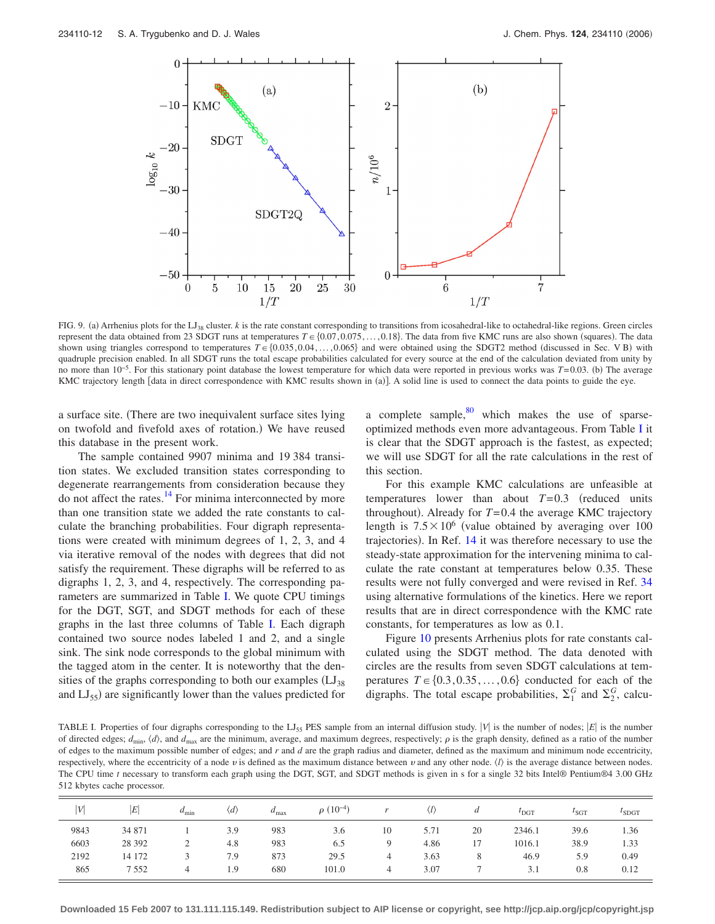<span id="page-11-0"></span>

FIG. 9. (a) Arrhenius plots for the LJ<sub>38</sub> cluster. *k* is the rate constant corresponding to transitions from icosahedral-like to octahedral-like regions. Green circles represent the data obtained from 23 SDGT runs at temperatures  $T \in \{0.07, 0.075, \ldots, 0.18\}$ . The data from five KMC runs are also shown (squares). The data shown using triangles correspond to temperatures  $T \in \{0.035, 0.04, \ldots, 0.065\}$  and were obtained using the SDGT2 method (discussed in Sec. V B) with quadruple precision enabled. In all SDGT runs the total escape probabilities calculated for every source at the end of the calculation deviated from unity by no more than 10<sup>-5</sup>. For this stationary point database the lowest temperature for which data were reported in previous works was *T*=0.03. (b) The average KMC trajectory length [data in direct correspondence with KMC results shown in (a)]. A solid line is used to connect the data points to guide the eye.

a surface site. There are two inequivalent surface sites lying on twofold and fivefold axes of rotation.) We have reused this database in the present work.

The sample contained 9907 minima and 19 384 transition states. We excluded transition states corresponding to degenerate rearrangements from consideration because they do not affect the rates. $^{14}$  For minima interconnected by more than one transition state we added the rate constants to calculate the branching probabilities. Four digraph representations were created with minimum degrees of 1, 2, 3, and 4 via iterative removal of the nodes with degrees that did not satisfy the requirement. These digraphs will be referred to as digraphs 1, 2, 3, and 4, respectively. The corresponding parameters are summarized in Table I. We quote CPU timings for the DGT, SGT, and SDGT methods for each of these graphs in the last three columns of Table I. Each digraph contained two source nodes labeled 1 and 2, and a single sink. The sink node corresponds to the global minimum with the tagged atom in the center. It is noteworthy that the densities of the graphs corresponding to both our examples  $(LJ_{38})$ and LJ<sub>55</sub>) are significantly lower than the values predicted for

a complete sample, $80$  which makes the use of sparseoptimized methods even more advantageous. From Table I it is clear that the SDGT approach is the fastest, as expected; we will use SDGT for all the rate calculations in the rest of this section.

For this example KMC calculations are unfeasible at temperatures lower than about  $T=0.3$  (reduced units throughout). Already for  $T = 0.4$  the average KMC trajectory length is  $7.5 \times 10^6$  (value obtained by averaging over 100 trajectories). In Ref. [14](#page-14-0) it was therefore necessary to use the steady-state approximation for the intervening minima to calculate the rate constant at temperatures below 0.35. These results were not fully converged and were revised in Ref. [34](#page-14-0) using alternative formulations of the kinetics. Here we report results that are in direct correspondence with the KMC rate constants, for temperatures as low as 0.1.

Figure [10](#page-12-0) presents Arrhenius plots for rate constants calculated using the SDGT method. The data denoted with circles are the results from seven SDGT calculations at temperatures  $T \in \{0.3, 0.35, \ldots, 0.6\}$  conducted for each of the digraphs. The total escape probabilities,  $\Sigma_1^G$  and  $\Sigma_2^G$ , calcu-

TABLE I. Properties of four digraphs corresponding to the LJ<sub>55</sub> PES sample from an internal diffusion study.  $|V|$  is the number of nodes;  $|E|$  is the number of directed edges;  $d_{\min}$ ,  $\langle d \rangle$ , and  $d_{\max}$  are the minimum, average, and maximum degrees, respectively;  $\rho$  is the graph density, defined as a ratio of the number of edges to the maximum possible number of edges; and *r* and *d* are the graph radius and diameter, defined as the maximum and minimum node eccentricity, respectively, where the eccentricity of a node  $v$  is defined as the maximum distance between  $v$  and any other node.  $\langle l \rangle$  is the average distance between nodes. The CPU time *t* necessary to transform each graph using the DGT, SGT, and SDGT methods is given in s for a single 32 bits Intel® Pentium®4 3.00 GHz 512 kbytes cache processor.

| $\overline{V}$ | E        | $a_{\min}$ | $\langle d \rangle$ | $a_{\text{max}}$ | $\rho(10^{-4})$ |    |      | а  | $t_{\rm DGT}$ | $t_{\text{SGT}}$ | $l_{\text{SDGT}}$ |
|----------------|----------|------------|---------------------|------------------|-----------------|----|------|----|---------------|------------------|-------------------|
| 9843           | 34 871   |            | 3.9                 | 983              | 3.6             | 10 | 5.71 | 20 | 2346.1        | 39.6             | 1.36              |
| 6603           | 28 3 9 2 | ∼          | 4.8                 | 983              | 6.5             | 9  | 4.86 | 17 | 1016.1        | 38.9             | 1.33              |
| 2192           | 14 172   |            | 7.9                 | 873              | 29.5            | 4  | 3.63 | 8  | 46.9          | 5.9              | 0.49              |
| 865            | 7552     |            | 1.9                 | 680              | 101.0           | 4  | 3.07 |    | 3.1           | 0.8              | 0.12              |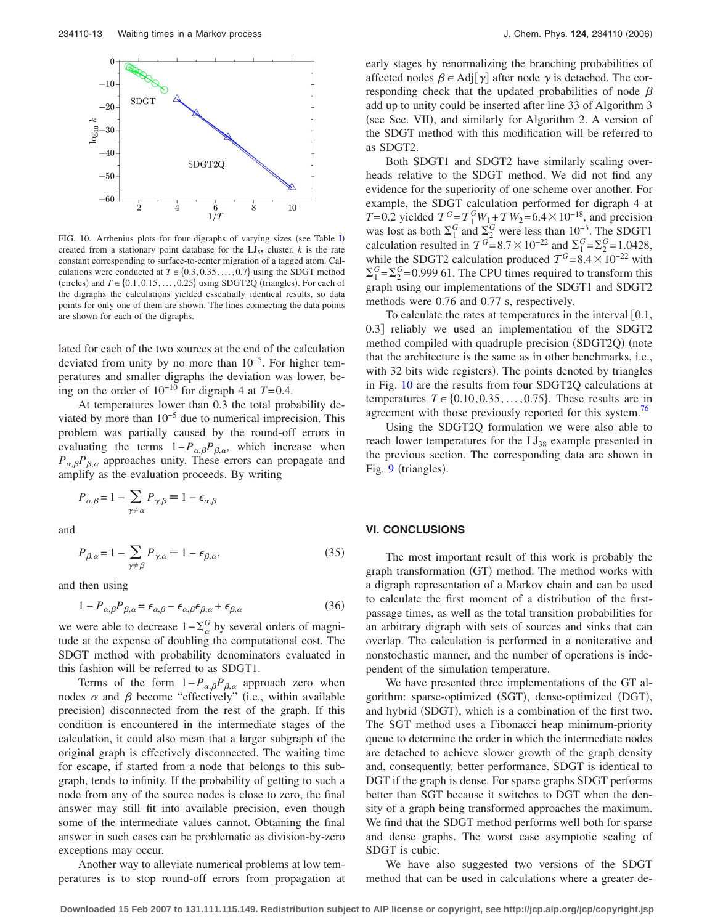<span id="page-12-0"></span>

F[I](#page-11-0)G. 10. Arrhenius plots for four digraphs of varying sizes (see Table I) created from a stationary point database for the  $LI_{55}$  cluster.  $k$  is the rate constant corresponding to surface-to-center migration of a tagged atom. Calculations were conducted at  $T \in \{0.3, 0.35, \dots, 0.7\}$  using the SDGT method (circles) and  $T \in \{0.1, 0.15, ..., 0.25\}$  using SDGT2Q (triangles). For each of the digraphs the calculations yielded essentially identical results, so data points for only one of them are shown. The lines connecting the data points are shown for each of the digraphs.

lated for each of the two sources at the end of the calculation deviated from unity by no more than 10−5. For higher temperatures and smaller digraphs the deviation was lower, being on the order of  $10^{-10}$  for digraph 4 at  $T=0.4$ .

At temperatures lower than 0.3 the total probability deviated by more than  $10^{-5}$  due to numerical imprecision. This problem was partially caused by the round-off errors in evaluating the terms  $1-P_{\alpha,\beta}P_{\beta,\alpha}$ , which increase when  $P_{\alpha,\beta}P_{\beta,\alpha}$  approaches unity. These errors can propagate and amplify as the evaluation proceeds. By writing

$$
P_{\alpha,\beta} \!=\! 1 - \sum_{\gamma \neq \alpha} P_{\gamma,\beta} \!\equiv 1 - \epsilon_{\alpha,\beta}
$$

and

$$
P_{\beta,\alpha} = 1 - \sum_{\gamma \neq \beta} P_{\gamma,\alpha} \equiv 1 - \epsilon_{\beta,\alpha},\tag{35}
$$

and then using

$$
1 - P_{\alpha,\beta}P_{\beta,\alpha} = \epsilon_{\alpha,\beta} - \epsilon_{\alpha,\beta}\epsilon_{\beta,\alpha} + \epsilon_{\beta,\alpha} \tag{36}
$$

we were able to decrease  $1-\sum_{\alpha}^{G}$  by several orders of magnitude at the expense of doubling the computational cost. The SDGT method with probability denominators evaluated in this fashion will be referred to as SDGT1.

Terms of the form  $1-P_{\alpha,\beta}P_{\beta,\alpha}$  approach zero when nodes  $\alpha$  and  $\beta$  become "effectively" (i.e., within available precision) disconnected from the rest of the graph. If this condition is encountered in the intermediate stages of the calculation, it could also mean that a larger subgraph of the original graph is effectively disconnected. The waiting time for escape, if started from a node that belongs to this subgraph, tends to infinity. If the probability of getting to such a node from any of the source nodes is close to zero, the final answer may still fit into available precision, even though some of the intermediate values cannot. Obtaining the final answer in such cases can be problematic as division-by-zero exceptions may occur.

Another way to alleviate numerical problems at low temperatures is to stop round-off errors from propagation at early stages by renormalizing the branching probabilities of affected nodes  $\beta \in \text{Adj}[\gamma]$  after node  $\gamma$  is detached. The corresponding check that the updated probabilities of node  $\beta$ add up to unity could be inserted after line 33 of Algorithm 3 (see Sec. VII), and similarly for Algorithm 2. A version of the SDGT method with this modification will be referred to as SDGT2.

Both SDGT1 and SDGT2 have similarly scaling overheads relative to the SDGT method. We did not find any evidence for the superiority of one scheme over another. For example, the SDGT calculation performed for digraph 4 at *T*= 0.2 yielded  $T^G = T_1^G W_1 + T W_2 = 6.4 \times 10^{-18}$ , and precision was lost as both  $\Sigma_1^G$  and  $\Sigma_2^G$  were less than 10<sup>-5</sup>. The SDGT1 calculation resulted in  $T^{G} = 8.7 \times 10^{-22}$  and  $\Sigma_{1}^{G} = \Sigma_{2}^{G} = 1.0428$ , while the SDGT2 calculation produced  $T^{G} = 8.4 \times 10^{-22}$  with  $\Sigma_1^G = \Sigma_2^G = 0.999$  61. The CPU times required to transform this graph using our implementations of the SDGT1 and SDGT2 methods were 0.76 and 0.77 s, respectively.

To calculate the rates at temperatures in the interval  $[0.1, 1]$ 0.3 reliably we used an implementation of the SDGT2 method compiled with quadruple precision (SDGT2Q) (note that the architecture is the same as in other benchmarks, i.e., with 32 bits wide registers). The points denoted by triangles in Fig. 10 are the results from four SDGT2Q calculations at temperatures  $T \in \{0.10, 0.35, \ldots, 0.75\}$ . These results are in agreement with those previously reported for this system.<sup>76</sup>

Using the SDGT2Q formulation we were also able to reach lower temperatures for the  $LJ_{38}$  example presented in the previous section. The corresponding data are shown in Fig. [9](#page-11-0) (triangles).

#### **VI. CONCLUSIONS**

The most important result of this work is probably the graph transformation (GT) method. The method works with a digraph representation of a Markov chain and can be used to calculate the first moment of a distribution of the firstpassage times, as well as the total transition probabilities for an arbitrary digraph with sets of sources and sinks that can overlap. The calculation is performed in a noniterative and nonstochastic manner, and the number of operations is independent of the simulation temperature.

We have presented three implementations of the GT algorithm: sparse-optimized (SGT), dense-optimized (DGT), and hybrid (SDGT), which is a combination of the first two. The SGT method uses a Fibonacci heap minimum-priority queue to determine the order in which the intermediate nodes are detached to achieve slower growth of the graph density and, consequently, better performance. SDGT is identical to DGT if the graph is dense. For sparse graphs SDGT performs better than SGT because it switches to DGT when the density of a graph being transformed approaches the maximum. We find that the SDGT method performs well both for sparse and dense graphs. The worst case asymptotic scaling of SDGT is cubic.

We have also suggested two versions of the SDGT method that can be used in calculations where a greater de-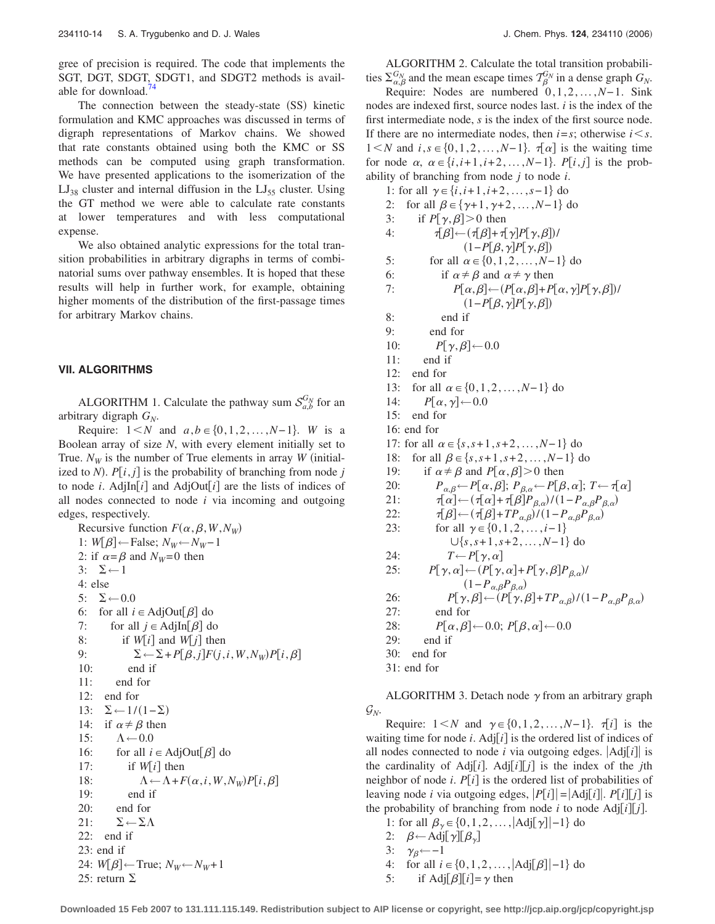gree of precision is required. The code that implements the SGT, DGT, SDGT, SDGT1, and SDGT2 methods is available for download[.74](#page-15-0)

The connection between the steady-state (SS) kinetic formulation and KMC approaches was discussed in terms of digraph representations of Markov chains. We showed that rate constants obtained using both the KMC or SS methods can be computed using graph transformation. We have presented applications to the isomerization of the  $LJ_{38}$  cluster and internal diffusion in the  $LJ_{55}$  cluster. Using the GT method we were able to calculate rate constants at lower temperatures and with less computational expense.

We also obtained analytic expressions for the total transition probabilities in arbitrary digraphs in terms of combinatorial sums over pathway ensembles. It is hoped that these results will help in further work, for example, obtaining higher moments of the distribution of the first-passage times for arbitrary Markov chains.

### **VII. ALGORITHMS**

ALGORITHM 1. Calculate the pathway sum  $S_{a,b}^{G_N}$  for an arbitrary digraph  $G_N$ .

Require:  $1 \le N$  and  $a, b \in \{0, 1, 2, ..., N-1\}$ . *W* is a Boolean array of size *N*, with every element initially set to True.  $N_W$  is the number of True elements in array *W* (initialized to *N*).  $P[i, j]$  is the probability of branching from node *j* to node *i*. AdjIn[ $i$ ] and AdjOut[ $i$ ] are the lists of indices of all nodes connected to node *i* via incoming and outgoing edges, respectively.

Recursive function  $F(\alpha, \beta, W, N_W)$ 1: *W*[ $\beta$ ] ← False;  $N_W$ ←  $N_W$ − 1 2: if  $\alpha = \beta$  and  $N_W = 0$  then  $3: \quad \Sigma \leftarrow 1$ 4: else 5:  $\Sigma \leftarrow 0.0$ <br>6: for all *i* for all  $i \in \text{AdjOut}[\beta]$  do 7: for all  $j \in \text{AdjIn}[\beta]$  do 8: if  $W[i]$  and  $W[j]$  then 9:  $\Sigma \leftarrow \Sigma + P[\beta, j]F(j, i, W, N_W)P[i, \beta]$ 10: end if 11: end for 12: end for 13:  $\Sigma$  ← 1/(1– $\Sigma$ ) 14: if  $\alpha \neq \beta$  then 15:  $\Lambda \leftarrow 0.0$ <br>16: for all *i* for all  $i \in \text{AdjOut}[\beta]$  do 17: if  $W[i]$  then 18:  $\Lambda \leftarrow \Lambda + F(\alpha, i, W, N_W) P[i, \beta]$ 19: end if 20: end for 21:  $\Sigma \leftarrow \Sigma \Lambda$ 22: end if 23: end if 24: *W*[ $\beta$ ] ← True;  $N_W$ ←  $N_W$ + 1 25: return  $\Sigma$ 

ALGORITHM 2. Calculate the total transition probabilities  $\Sigma_{\alpha,\beta}^{G_N}$  and the mean escape times  $\mathcal{T}_{\beta}^{G_N}$  in a dense graph  $G_N$ .

Require: Nodes are numbered 0,1,2,...,*N*− 1. Sink nodes are indexed first, source nodes last. *i* is the index of the first intermediate node, *s* is the index of the first source node. If there are no intermediate nodes, then  $i = s$ ; otherwise  $i \leq s$ . 1 <*N* and  $i, s \in \{0, 1, 2, ..., N-1\}$ .  $\tau[\alpha]$  is the waiting time for node  $\alpha$ ,  $\alpha \in \{i, i+1, i+2, \ldots, N-1\}$ . *P*[*i*, *j*] is the probability of branching from node *j* to node *i*.

1: for all  $\gamma$  ∈ {*i*,*i*+1,*i*+2,...,*s*−1} do 2: for all  $\beta \in {\gamma+1, \gamma+2, ..., N-1}$  do 3: if  $P[\gamma, \beta] > 0$  then 4:  $\tau[\beta] \leftarrow (\tau[\beta] + \tau[\gamma]P[\gamma,\beta])$ /  $(1-P[\beta,\gamma]P[\gamma,\beta])$ 5: for all  $\alpha \in \{0, 1, 2, ..., N-1\}$  do 6: if  $\alpha \neq \beta$  and  $\alpha \neq \gamma$  then 7:  $P[\alpha, \beta] \leftarrow (P[\alpha, \beta] + P[\alpha, \gamma]P[\gamma, \beta])$ /  $(1-P[\beta,\gamma]P[\gamma,\beta])$ 8: end if 9: end for 10:  $P[\gamma,\beta] \leftarrow 0.0$ <br>11: end if end if 12: end for 13: for all  $\alpha$  ∈ {0,1,2,...,*N*−1} do 14:  $P[\alpha, \gamma] \leftarrow 0.0$ <br>15: end for end for 16: end for 17: for all  $\alpha$  ∈ {*s*,*s*+1,*s*+2,...,*N*−1} do 18: for all  $\beta$  ∈ {*s*,*s*+1,*s*+2,...,*N*−1} do 19: if  $\alpha \neq \beta$  and  $P[\alpha, \beta] > 0$  then 20:  $P_{\alpha,\beta} \leftarrow P[\alpha,\beta]; P_{\beta,\alpha} \leftarrow P[\beta,\alpha]; T \leftarrow \tau[\alpha]$ 21:  $\qquad \qquad \tau[\alpha] \leftarrow (\tau[\alpha] + \tau[\beta] P_{\beta,\alpha}) / (1 - P_{\alpha,\beta} P_{\beta,\alpha})$ 22:  $\qquad \qquad \tau[\beta] \leftarrow (\tau[\beta] + TP_{\alpha,\beta}) / (1 - P_{\alpha,\beta} P_{\beta,\alpha})$ 23: for all  $\gamma \in \{0, 1, 2, ..., i-1\}$  $\cup \{s, s+1, s+2, ..., N-1\}$  do 24:  $T \leftarrow P[\gamma, \alpha]$ <br>25:  $P[\gamma, \alpha] \leftarrow (P[\gamma, \alpha])$ 25:  $P[\gamma, \alpha] \leftarrow (P[\gamma, \alpha] + P[\gamma, \beta]P_{\beta, \alpha})/$ 26:  $P[\gamma, \beta] \leftarrow (P[\gamma, \beta] + TP_{\alpha,\beta})/(1 - P_{\alpha,\beta}P_{\beta,\alpha})$ 27: end for 28:  $P[\alpha, \beta] \leftarrow 0.0; P[\beta, \alpha] \leftarrow 0.0$ <br>29: end if end if 30: end for 31: end for

ALGORITHM 3. Detach node  $\gamma$  from an arbitrary graph  $\mathcal{G}_N$ .

Require:  $1 < N$  and  $\gamma \in \{0, 1, 2, ..., N-1\}$ .  $\tau[i]$  is the waiting time for node  $i$ . Adj $[i]$  is the ordered list of indices of all nodes connected to node  $i$  via outgoing edges.  $|\text{Adj}[i]|$  is the cardinality of Adj $[i]$ . Adj $[i][j]$  is the index of the *j*th neighbor of node *i*.  $P[i]$  is the ordered list of probabilities of leaving node *i* via outgoing edges,  $|P[i]| = |Adj[i]|$ .  $P[i][j]$  is the probability of branching from node *i* to node Adj*ij*.

- 1: for all  $\beta_{\gamma} \in \{0, 1, 2, \dots, |\text{Adj}[\gamma]| 1\}$  do
	- 2:  $\beta$ ←Adj[ $\gamma$ ][ $\beta$ <sub>γ</sub>]
	- $3: \gamma_{\beta}$ ←−1
	- 4: for all  $i \in \{0, 1, 2, ..., |Adj[\beta]|-1\}$  do
- 5: if Adj $\lceil \beta \rceil i \rceil = \gamma$  then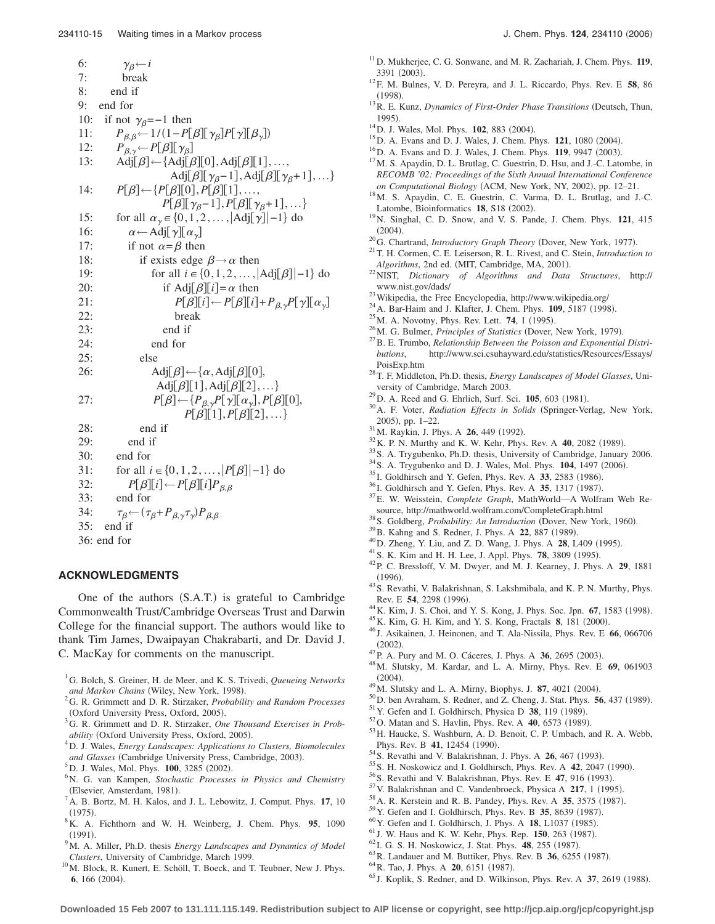<span id="page-14-0"></span>6:  $\gamma_{\beta} \leftarrow i$ <br>7: break 7: break 8: end if 9: end for 10: if not  $\gamma_{\beta} = -1$  then 11:  $P_{\beta,\beta} \leftarrow 1/(1 - P[\beta][\gamma_{\beta}]P[\gamma][\beta_{\gamma}])$ <br>12:  $P_{\beta,\gamma} \leftarrow P[\beta][\gamma_{\beta}]$ 13: Adj $[\beta] \leftarrow [\text{Adj}[\beta][0], \text{Adj}[\beta][1], \dots,$ Adj $\lbrack \beta \rbrack \rbrack \gamma_{\beta}-1$ , Adj $\lbrack \beta \rbrack \rbrack \gamma_{\beta}+1$ , ...} 14:  $P[\beta] \leftarrow \{P[\beta][0], P[\beta][1], \ldots,$  $P[\beta][\gamma_{\beta}-1], P[\beta][\gamma_{\beta}+1], \ldots\}$ 15: for all  $\alpha_{\gamma} \in \{0, 1, 2, \dots, |\text{Adj}[\gamma]| - 1\}$  do 16:  $\alpha \leftarrow \text{Adj}[\gamma][\alpha_{\gamma}]$ <br>17: if not  $\alpha = \beta$  then if not  $\alpha = \beta$  then 18: if exists edge  $\beta \rightarrow \alpha$  then<br>19: for all  $i \in \{0, 1, 2, \dots\}$ for all  $i \in \{0, 1, 2, \ldots, |Ad| \cdot |B| \}$  do 20: if Adj $[\beta][i] = \alpha$  then 21:  $P[\beta][i] \leftarrow P[\beta][i] + P_{\beta,\gamma}P[\gamma][\alpha_{\gamma}]$ <br>22: break break 23: end if 24: end for 25: else 26:  $\text{Adj}[\beta] \leftarrow {\alpha, \text{Adj}[\beta][0]},$ Adj $[\beta][1]$ , Adj $[\beta][2]$ , ...} 27:  $P[\beta] \leftarrow \{P_{\beta,\gamma}P[\gamma][\alpha_{\gamma}], P[\beta][0],$  $P[\beta][1], P[\beta][2], \ldots\}$ 28: end if 29: end if 30: end for 31: for all  $i \in \{0, 1, 2, ..., |P[\beta]|-1\}$  do 32:  $P[\beta][i] \leftarrow P[\beta][i]P_{\beta,\beta}$ <br>33: end for end for 34:  $\tau_{\beta} \leftarrow (\tau_{\beta} + P_{\beta, \gamma} \tau_{\gamma}) P_{\beta, \beta}$ 35: end if 36: end for

## **ACKNOWLEDGMENTS**

One of the authors (S.A.T.) is grateful to Cambridge Commonwealth Trust/Cambridge Overseas Trust and Darwin College for the financial support. The authors would like to thank Tim James, Dwaipayan Chakrabarti, and Dr. David J. C. MacKay for comments on the manuscript.

- 1 G. Bolch, S. Greiner, H. de Meer, and K. S. Trivedi, *Queueing Networks* and Markov Chains (Wiley, New York, 1998).<br><sup>2</sup>C B. Grimmett and D. B. Stirzakor, *Brobabili*
- G. R. Grimmett and D. R. Stirzaker, *Probability and Random Processes* (Oxford University Press, Oxford, 2005).
- G. R. Grimmett and D. R. Stirzaker, *One Thousand Exercises in Probability* (Oxford University Press, Oxford, 2005).
- D. J. Wales, *Energy Landscapes: Applications to Clusters, Biomolecules and Glasses* (Cambridge University Press, Cambridge, 2003).
- ${}^{5}_{6}$ D. J. Wales, Mol. Phys. **100**, 3285 (2002).
- N. G. van Kampen, *Stochastic Processes in Physics and Chemistry* (Elsevier, Amsterdam, 1981).
- A. B. Bortz, M. H. Kalos, and J. L. Lebowitz, J. Comput. Phys. **17**, 10  $(1975)$ . . <sup>8</sup> K. A. Fichthorn and W. H. Weinberg, J. Chem. Phys. **95**, 1090
- $(1991).$ . <sup>9</sup> M. A. Miller, Ph.D. thesis *Energy Landscapes and Dynamics of Model*
- *Clusters*, University of Cambridge, March 1999.<br><sup>10</sup>M. Block, R. Kunert, E. Schöll, T. Boeck, and T. Teubner, New J. Phys.
- 6, 166 (2004).
- 11D. Mukherjee, C. G. Sonwane, and M. R. Zachariah, J. Chem. Phys. **119**, 3391 (2003).
- . 12F. M. Bulnes, V. D. Pereyra, and J. L. Riccardo, Phys. Rev. E **<sup>58</sup>**, 86  $(1998).$
- <sup>13</sup> R. E. Kunz, *Dynamics of First-Order Phase Transitions* (Deutsch, Thun,  $1995.$
- <sup>14</sup> D. J. Wales, Mol. Phys. **102**, 883 (2004).
- <sup>15</sup> D. A. Evans and D. J. Wales, J. Chem. Phys. **121**, 1080 (2004).
- <sup>16</sup>D. A. Evans and D. J. Wales, J. Chem. Phys. **119**, 9947 (2003).
- $17$ M. S. Apaydin, D. L. Brutlag, C. Guestrin, D. Hsu, and J.-C. Latombe, in *RECOMB '02: Proceedings of the Sixth Annual International Conference on Computational Biology* (ACM, New York, NY, 2002), pp. 12-21.
- <sup>18</sup>M. S. Apaydin, C. E. Guestrin, C. Varma, D. L. Brutlag, and J.-C. Latombe, Bioinformatics **18**, S18 (2002).
- . 19N. Singhal, C. D. Snow, and V. S. Pande, J. Chem. Phys. **<sup>121</sup>**, 415  $(2004).$
- <sup>20</sup>G. Chartrand, *Introductory Graph Theory* (Dover, New York, 1977).
- . 21T. H. Cormen, C. E. Leiserson, R. L. Rivest, and C. Stein, *Introduction to Algorithms*, 2nd ed. (MIT, Cambridge, MA, 2001).
- . 22NIST, *Dictionary of Algorithms and Data Structures*, http://
- 
- <sup>23</sup>Wikipedia, the Free Encyclopedia, http://www.wikipedia.org/ <sup>24</sup>A. Bar-Haim and J. Klafter, J. Chem. Phys. **109**, 5187 (1998).
- <sup>25</sup> M. A. Novotny, Phys. Rev. Lett. **74**, 1 (1995).
- <sup>26</sup> M. G. Bulmer, *Principles of Statistics* (Dover, New York, 1979).
- <sup>27</sup> B. E. Trumbo, *Relationship Between the Poisson and Exponential Distributions*, http://www.sci.csuhayward.edu/statistics/Resources/Essays/
- PoisExp.htm 28T. F. Middleton, Ph.D. thesis, *Energy Landscapes of Model Glasses*, University of Cambridge, March 2003.<br><sup>29</sup>D. A. Reed and G. Ehrlich, Surf. Sci. **105**, 603 (1981).
- 
- <sup>30</sup> A. F. Voter, *Radiation Effects in Solids* (Springer-Verlag, New York, 2005), pp. 1-22.
- <sup>31</sup>M. Raykin, J. Phys. A **26**, 449 (1992).
- <sup>32</sup> K. P. N. Murthy and K. W. Kehr, Phys. Rev. A **40**, 2082 (1989).
- <sup>33</sup> S. A. Trygubenko, Ph.D. thesis, University of Cambridge, January 2006. <sup>34</sup> S. A. Trygubenko and D. J. Wales, Mol. Phys. **104**, 1497 (2006).
- 
- <sup>35</sup> I. Goldhirsch and Y. Gefen, Phys. Rev. A **33**, 2583 (1986).
- <sup>36</sup> I. Goldhirsch and Y. Gefen, Phys. Rev. A **35**, 1317 (1987).
- . 37E. W. Weisstein, *Complete Graph*, MathWorld—A Wolfram Web Resource, http://mathworld.wolfram.com/CompleteGraph.html <sup>38</sup>S. Goldberg, *Probability: An Introduction* (Dover, New York, 1960)
- <sup>38</sup>S. Goldberg, *Probability: An Introduction* (Dover, New York, 1960).<br><sup>39</sup>B. Kahng and S. Redner, J. Phys. A 22, 887 (1989).
- 
- <sup>39</sup> B. Kahng and S. Redner, J. Phys. A **22**, 887 (1989).<br><sup>40</sup> D. Zheng, Y. Liu, and Z. D. Wang, J. Phys. A **28**, L409 (1995).
- <sup>41</sup> S. K. Kim and H. H. Lee, J. Appl. Phys. **78**, 3809 (1995).
- . 42P. C. Bressloff, V. M. Dwyer, and M. J. Kearney, J. Phys. A **<sup>29</sup>**, 1881  $(1996)$
- <sup>43</sup>S. Revathi, V. Balakrishnan, S. Lakshmibala, and K. P. N. Murthy, Phys. Rev. E 54, 2298 (1996). Rev. E **54**, 2298 (1996).<br><sup>44</sup> K. Kim, J. S. Choi, and Y. S. Kong, J. Phys. Soc. Jpn. **67**, 1583 (1998)
- <sup>44</sup> K. Kim, J. S. Choi, and Y. S. Kong, J. Phys. Soc. Jpn. **67**, 1583 (1998).<br><sup>45</sup> K. Kim, G. H. Kim, and Y. S. Kong, Fractals **8**, 181 (2000).
- 
- <sup>45</sup> K. Kim, G. H. Kim, and Y. S. Kong, Fractals **8**, 181 (2000).<br><sup>46</sup> J. Asikainen, J. Heinonen, and T. Ala-Nissila, Phys. Rev. E **66**, 066706  $(2002)$ .
- <sup>47</sup> P. A. Pury and M. O. Cáceres, J. Phys. A **36**, 2695 (2003).
- . 48M. Slutsky, M. Kardar, and L. A. Mirny, Phys. Rev. E **<sup>69</sup>**, 061903  $(2004).$
- <sup>49</sup>M. Slutsky and L. A. Mirny, Biophys. J. **87**, 4021 (2004).
- <sup>49</sup> M. Slutsky and L. A. Mirny, Biophys. J. **87**, 4021 (2004).<br><sup>50</sup> D. ben Avraham, S. Redner, and Z. Cheng, J. Stat. Phys. **56**, 437 (1989) <sup>50</sup> D. ben Avraham, S. Redner, and Z. Cheng, J. Stat. Phys. **56**, 437 (1989).<br><sup>51</sup> Y. Gefen and I. Goldhirsch, Physica D **38**, 119 (1989).
- 
- <sup>51</sup> Y. Gefen and I. Goldhirsch, Physica D **38**, 119 (1989).<br><sup>52</sup> O. Matan and S. Havlin, Phys. Rev. A **40**, 6573 (1989).
- 53 H. Haucke, S. Washburn, A. D. Benoit, C. P. Umbach, and R. A. Webb, Phys. Rev. B 41, 12454 (1990).
- <sup>54</sup> S. Revathi and V. Balakrishnan, J. Phys. A **26**, 467 (1993).
- <sup>55</sup> S. H. Noskowicz and I. Goldhirsch, Phys. Rev. A **42**, 2047 (1990).
- <sup>56</sup> S. Revathi and V. Balakrishnan, Phys. Rev. E 47, 916 (1993).
- <sup>57</sup> V. Balakrishnan and C. Vandenbroeck, Physica A **217**, 1 (1995).
- <sup>58</sup> A. R. Kerstein and R. B. Pandey, Phys. Rev. A **35**, 3575 (1987).
- <sup>59</sup> Y. Gefen and I. Goldhirsch, Phys. Rev. B **35**, 8639 (1987).
- <sup>60</sup> Y. Gefen and I. Goldhirsch, J. Phys. A **18**, L1037 (1985).
- . <sup>61</sup> J. W. Haus and K. W. Kehr, Phys. Rep. **<sup>150</sup>**, 263 1987-
- <sup>62</sup> I. G. S. H. Noskowicz, J. Stat. Phys. **48**, 255 (1987). <sup>62</sup>I. G. S. H. Noskowicz, J. Stat. Phys. **48**, 255 (1987).<br><sup>63</sup>R. Landauer and M. Buttiker, Phys. Rev. B **36**, 6255 (1987)
- <sup>63</sup> R. Landauer and M. Buttiker, Phys. Rev. B **36**, 6255 (1987).<br><sup>64</sup> R. Tao, J. Phys. A **20**, 6151 (1987).
- 
- <sup>64</sup> R. Tao, J. Phys. A 20, 6151 (1987).<br><sup>65</sup> J. Koplik, S. Redner, and D. Wilkinson, Phys. Rev. A 37, 2619 (1988).